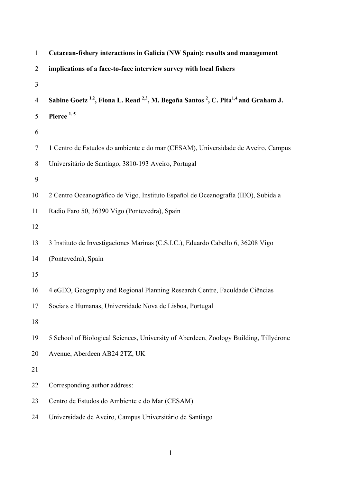| $\mathbf{1}$   | Cetacean-fishery interactions in Galicia (NW Spain): results and management                                                       |
|----------------|-----------------------------------------------------------------------------------------------------------------------------------|
| $\overline{2}$ | implications of a face-to-face interview survey with local fishers                                                                |
| 3              |                                                                                                                                   |
| $\overline{4}$ | Sabine Goetz <sup>1,2</sup> , Fiona L. Read <sup>2,3</sup> , M. Begoña Santos <sup>2</sup> , C. Pita <sup>1,4</sup> and Graham J. |
| 5              | Pierce <sup>1,5</sup>                                                                                                             |
| 6              |                                                                                                                                   |
| 7              | 1 Centro de Estudos do ambiente e do mar (CESAM), Universidade de Aveiro, Campus                                                  |
| 8              | Universitário de Santiago, 3810-193 Aveiro, Portugal                                                                              |
| 9              |                                                                                                                                   |
| 10             | 2 Centro Oceanográfico de Vigo, Instituto Español de Oceanografía (IEO), Subida a                                                 |
| 11             | Radio Faro 50, 36390 Vigo (Pontevedra), Spain                                                                                     |
| 12             |                                                                                                                                   |
| 13             | 3 Instituto de Investigaciones Marinas (C.S.I.C.), Eduardo Cabello 6, 36208 Vigo                                                  |
| 14             | (Pontevedra), Spain                                                                                                               |
| 15             |                                                                                                                                   |
| 16             | 4 eGEO, Geography and Regional Planning Research Centre, Faculdade Ciências                                                       |
| 17             | Sociais e Humanas, Universidade Nova de Lisboa, Portugal                                                                          |
| 18             |                                                                                                                                   |
| 19             | 5 School of Biological Sciences, University of Aberdeen, Zoology Building, Tillydrone                                             |
| 20             | Avenue, Aberdeen AB24 2TZ, UK                                                                                                     |
| 21             |                                                                                                                                   |
| 22             | Corresponding author address:                                                                                                     |
| 23             | Centro de Estudos do Ambiente e do Mar (CESAM)                                                                                    |
| 24             | Universidade de Aveiro, Campus Universitário de Santiago                                                                          |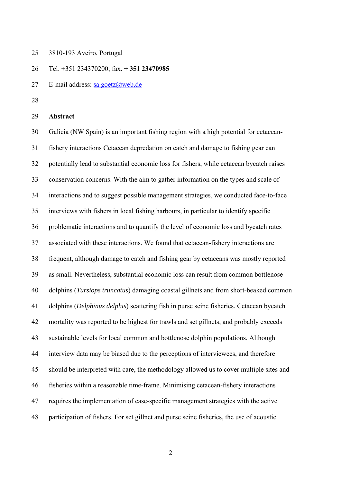25 3810-193 Aveiro, Portugal

26 Tel. +351 234370200; fax. **+ 351 23470985**

- 27 E-mail address: sa.goetz@web.de
- 28

#### 29 **Abstract**

30 Galicia (NW Spain) is an important fishing region with a high potential for cetacean-31 fishery interactions Cetacean depredation on catch and damage to fishing gear can 32 potentially lead to substantial economic loss for fishers, while cetacean bycatch raises 33 conservation concerns. With the aim to gather information on the types and scale of 34 interactions and to suggest possible management strategies, we conducted face-to-face 35 interviews with fishers in local fishing harbours, in particular to identify specific 36 problematic interactions and to quantify the level of economic loss and bycatch rates 37 associated with these interactions. We found that cetacean-fishery interactions are 38 frequent, although damage to catch and fishing gear by cetaceans was mostly reported 39 as small. Nevertheless, substantial economic loss can result from common bottlenose 40 dolphins (*Tursiops truncatus*) damaging coastal gillnets and from short-beaked common 41 dolphins (*Delphinus delphis*) scattering fish in purse seine fisheries. Cetacean bycatch 42 mortality was reported to be highest for trawls and set gillnets, and probably exceeds 43 sustainable levels for local common and bottlenose dolphin populations. Although 44 interview data may be biased due to the perceptions of interviewees, and therefore 45 should be interpreted with care, the methodology allowed us to cover multiple sites and 46 fisheries within a reasonable time-frame. Minimising cetacean-fishery interactions 47 requires the implementation of case-specific management strategies with the active 48 participation of fishers. For set gillnet and purse seine fisheries, the use of acoustic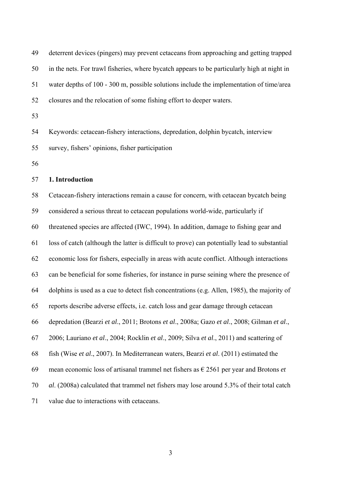| 49 | deterrent devices (pingers) may prevent cetaceans from approaching and getting trapped                |
|----|-------------------------------------------------------------------------------------------------------|
| 50 | in the nets. For trawl fisheries, where bycatch appears to be particularly high at night in           |
| 51 | water depths of 100 - 300 m, possible solutions include the implementation of time/area               |
| 52 | closures and the relocation of some fishing effort to deeper waters.                                  |
| 53 |                                                                                                       |
| 54 | Keywords: cetacean-fishery interactions, depredation, dolphin bycatch, interview                      |
| 55 | survey, fishers' opinions, fisher participation                                                       |
| 56 |                                                                                                       |
| 57 | 1. Introduction                                                                                       |
| 58 | Cetacean-fishery interactions remain a cause for concern, with cetacean bycatch being                 |
| 59 | considered a serious threat to cetacean populations world-wide, particularly if                       |
| 60 | threatened species are affected (IWC, 1994). In addition, damage to fishing gear and                  |
| 61 | loss of catch (although the latter is difficult to prove) can potentially lead to substantial         |
| 62 | economic loss for fishers, especially in areas with acute conflict. Although interactions             |
| 63 | can be beneficial for some fisheries, for instance in purse seining where the presence of             |
| 64 | dolphins is used as a cue to detect fish concentrations (e.g. Allen, 1985), the majority of           |
| 65 | reports describe adverse effects, i.e. catch loss and gear damage through cetacean                    |
| 66 | depredation (Bearzi et al., 2011; Brotons et al., 2008a; Gazo et al., 2008; Gilman et al.,            |
| 67 | 2006; Lauriano et al., 2004; Rocklin et al., 2009; Silva et al., 2011) and scattering of              |
| 68 | fish (Wise et al., 2007). In Mediterranean waters, Bearzi et al. (2011) estimated the                 |
| 69 | mean economic loss of artisanal trammel net fishers as $\epsilon$ 2561 per year and Brotons <i>et</i> |
| 70 | al. (2008a) calculated that trammel net fishers may lose around 5.3% of their total catch             |
| 71 | value due to interactions with cetaceans.                                                             |
|    |                                                                                                       |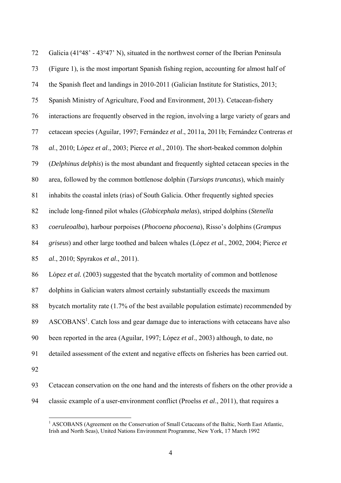| 72 | Galicia (41°48' - 43°47' N), situated in the northwest corner of the Iberian Peninsula          |
|----|-------------------------------------------------------------------------------------------------|
| 73 | (Figure 1), is the most important Spanish fishing region, accounting for almost half of         |
| 74 | the Spanish fleet and landings in 2010-2011 (Galician Institute for Statistics, 2013;           |
| 75 | Spanish Ministry of Agriculture, Food and Environment, 2013). Cetacean-fishery                  |
| 76 | interactions are frequently observed in the region, involving a large variety of gears and      |
| 77 | cetacean species (Aguilar, 1997; Fernández et al., 2011a, 2011b; Fernández Contreras et         |
| 78 | al., 2010; López et al., 2003; Pierce et al., 2010). The short-beaked common dolphin            |
| 79 | (Delphinus delphis) is the most abundant and frequently sighted cetacean species in the         |
| 80 | area, followed by the common bottlenose dolphin (Tursiops truncatus), which mainly              |
| 81 | inhabits the coastal inlets (rias) of South Galicia. Other frequently sighted species           |
| 82 | include long-finned pilot whales (Globicephala melas), striped dolphins (Stenella               |
| 83 | coeruleoalba), harbour porpoises (Phocoena phocoena), Risso's dolphins (Grampus                 |
| 84 | griseus) and other large toothed and baleen whales (López et al., 2002, 2004; Pierce et         |
| 85 | al., 2010; Spyrakos et al., 2011).                                                              |
| 86 | López et al. (2003) suggested that the bycatch mortality of common and bottlenose               |
| 87 | dolphins in Galician waters almost certainly substantially exceeds the maximum                  |
| 88 | bycatch mortality rate (1.7% of the best available population estimate) recommended by          |
| 89 | ASCOBANS <sup>1</sup> . Catch loss and gear damage due to interactions with cetaceans have also |
| 90 | been reported in the area (Aguilar, 1997; López et al., 2003) although, to date, no             |
| 91 | detailed assessment of the extent and negative effects on fisheries has been carried out.       |
| 92 |                                                                                                 |
| 93 | Cetacean conservation on the one hand and the interests of fishers on the other provide a       |

94 classic example of a user-environment conflict (Proelss *et al*., 2011), that requires a

<sup>&</sup>lt;sup>1</sup> ASCOBANS (Agreement on the Conservation of Small Cetaceans of the Baltic, North East Atlantic, Irish and North Seas), United Nations Environment Programme, New York, 17 March 1992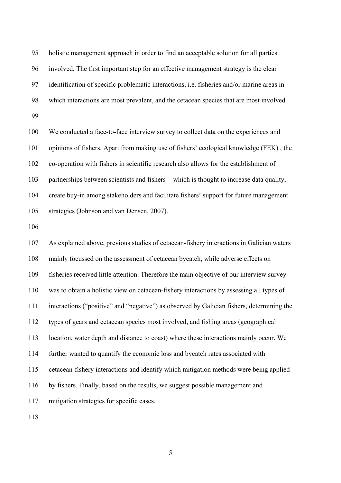95 holistic management approach in order to find an acceptable solution for all parties 96 involved. The first important step for an effective management strategy is the clear 97 identification of specific problematic interactions, i.e. fisheries and/or marine areas in 98 which interactions are most prevalent, and the cetacean species that are most involved. 99

100 We conducted a face-to-face interview survey to collect data on the experiences and 101 opinions of fishers. Apart from making use of fishers' ecological knowledge (FEK) , the 102 co-operation with fishers in scientific research also allows for the establishment of 103 partnerships between scientists and fishers - which is thought to increase data quality, 104 create buy-in among stakeholders and facilitate fishers' support for future management 105 strategies (Johnson and van Densen, 2007).

106

107 As explained above, previous studies of cetacean-fishery interactions in Galician waters 108 mainly focussed on the assessment of cetacean bycatch, while adverse effects on 109 fisheries received little attention. Therefore the main objective of our interview survey 110 was to obtain a holistic view on cetacean-fishery interactions by assessing all types of 111 interactions ("positive" and "negative") as observed by Galician fishers, determining the 112 types of gears and cetacean species most involved, and fishing areas (geographical 113 location, water depth and distance to coast) where these interactions mainly occur. We 114 further wanted to quantify the economic loss and bycatch rates associated with 115 cetacean-fishery interactions and identify which mitigation methods were being applied 116 by fishers. Finally, based on the results, we suggest possible management and 117 mitigation strategies for specific cases.

118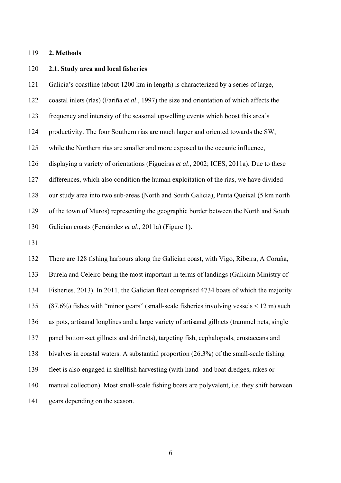#### 119 **2. Methods**

#### 120 **2.1. Study area and local fisheries**

121 Galicia's coastline (about 1200 km in length) is characterized by a series of large,

122 coastal inlets (rías) (Fariña *et al*., 1997) the size and orientation of which affects the

123 frequency and intensity of the seasonal upwelling events which boost this area's

124 productivity. The four Southern rías are much larger and oriented towards the SW,

125 while the Northern rías are smaller and more exposed to the oceanic influence,

126 displaying a variety of orientations (Figueiras *et al*., 2002; ICES, 2011a). Due to these

127 differences, which also condition the human exploitation of the rías, we have divided

128 our study area into two sub-areas (North and South Galicia), Punta Queixal (5 km north

129 of the town of Muros) representing the geographic border between the North and South

130 Galician coasts (Fernández *et al*., 2011a) (Figure 1).

131

132 There are 128 fishing harbours along the Galician coast, with Vigo, Ribeira, A Coruña, 133 Burela and Celeiro being the most important in terms of landings (Galician Ministry of 134 Fisheries, 2013). In 2011, the Galician fleet comprised 4734 boats of which the majority 135 (87.6%) fishes with "minor gears" (small-scale fisheries involving vessels < 12 m) such 136 as pots, artisanal longlines and a large variety of artisanal gillnets (trammel nets, single 137 panel bottom-set gillnets and driftnets), targeting fish, cephalopods, crustaceans and 138 bivalves in coastal waters. A substantial proportion (26.3%) of the small-scale fishing 139 fleet is also engaged in shellfish harvesting (with hand- and boat dredges, rakes or 140 manual collection). Most small-scale fishing boats are polyvalent, i.e. they shift between 141 gears depending on the season.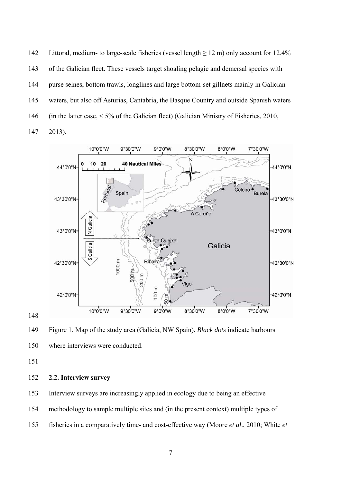142 Littoral, medium- to large-scale fisheries (vessel length  $\geq$  12 m) only account for 12.4% 143 of the Galician fleet. These vessels target shoaling pelagic and demersal species with 144 purse seines, bottom trawls, longlines and large bottom-set gillnets mainly in Galician 145 waters, but also off Asturias, Cantabria, the Basque Country and outside Spanish waters 146 (in the latter case, < 5% of the Galician fleet) (Galician Ministry of Fisheries, 2010, 147 2013).



149 Figure 1. Map of the study area (Galicia, NW Spain). *Black dots* indicate harbours 150 where interviews were conducted.

151

#### 152 **2.2. Interview survey**

153 Interview surveys are increasingly applied in ecology due to being an effective

154 methodology to sample multiple sites and (in the present context) multiple types of

155 fisheries in a comparatively time- and cost-effective way (Moore *et al*., 2010; White *et*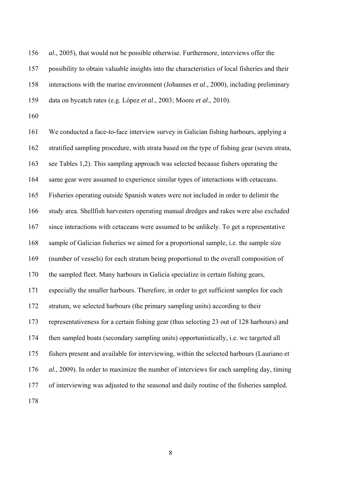156 *al*., 2005), that would not be possible otherwise. Furthermore, interviews offer the 157 possibility to obtain valuable insights into the characteristics of local fisheries and their 158 interactions with the marine environment (Johannes *et al*., 2000), including preliminary 159 data on bycatch rates (e.g. López *et al*., 2003; Moore *et al*., 2010).

160

161 We conducted a face-to-face interview survey in Galician fishing harbours, applying a 162 stratified sampling procedure, with strata based on the type of fishing gear (seven strata, 163 see Tables 1,2). This sampling approach was selected because fishers operating the 164 same gear were assumed to experience similar types of interactions with cetaceans. 165 Fisheries operating outside Spanish waters were not included in order to delimit the 166 study area. Shellfish harvesters operating manual dredges and rakes were also excluded 167 since interactions with cetaceans were assumed to be unlikely. To get a representative 168 sample of Galician fisheries we aimed for a proportional sample, i.e. the sample size 169 (number of vessels) for each stratum being proportional to the overall composition of 170 the sampled fleet. Many harbours in Galicia specialize in certain fishing gears, 171 especially the smaller harbours. Therefore, in order to get sufficient samples for each 172 stratum, we selected harbours (the primary sampling units) according to their 173 representativeness for a certain fishing gear (thus selecting 23 out of 128 harbours) and 174 then sampled boats (secondary sampling units) opportunistically, i.e. we targeted all 175 fishers present and available for interviewing, within the selected harbours (Lauriano *et*  176 *al*., 2009). In order to maximize the number of interviews for each sampling day, timing 177 of interviewing was adjusted to the seasonal and daily routine of the fisheries sampled. 178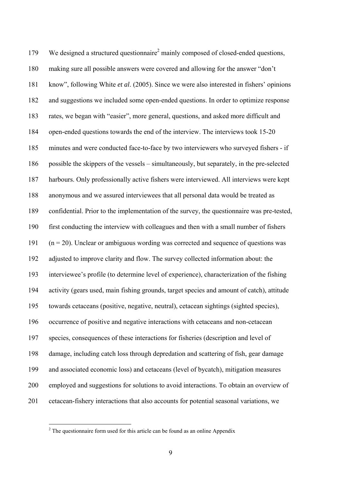179 We designed a structured questionnaire<sup>2</sup> mainly composed of closed-ended questions, 180 making sure all possible answers were covered and allowing for the answer "don't 181 know", following White *et al*. (2005). Since we were also interested in fishers' opinions 182 and suggestions we included some open-ended questions. In order to optimize response 183 rates, we began with "easier", more general, questions, and asked more difficult and 184 open-ended questions towards the end of the interview. The interviews took 15-20 185 minutes and were conducted face-to-face by two interviewers who surveyed fishers - if 186 possible the skippers of the vessels – simultaneously, but separately, in the pre-selected 187 harbours. Only professionally active fishers were interviewed. All interviews were kept 188 anonymous and we assured interviewees that all personal data would be treated as 189 confidential. Prior to the implementation of the survey, the questionnaire was pre-tested, 190 first conducting the interview with colleagues and then with a small number of fishers  $191$  (n = 20). Unclear or ambiguous wording was corrected and sequence of questions was 192 adjusted to improve clarity and flow. The survey collected information about: the 193 interviewee's profile (to determine level of experience), characterization of the fishing 194 activity (gears used, main fishing grounds, target species and amount of catch), attitude 195 towards cetaceans (positive, negative, neutral), cetacean sightings (sighted species), 196 occurrence of positive and negative interactions with cetaceans and non-cetacean 197 species, consequences of these interactions for fisheries (description and level of 198 damage, including catch loss through depredation and scattering of fish, gear damage 199 and associated economic loss) and cetaceans (level of bycatch), mitigation measures 200 employed and suggestions for solutions to avoid interactions. To obtain an overview of 201 cetacean-fishery interactions that also accounts for potential seasonal variations, we

 $\overline{a}$ 

 $2^2$  The questionnaire form used for this article can be found as an online Appendix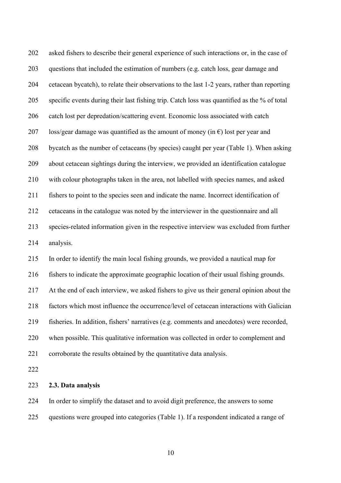202 asked fishers to describe their general experience of such interactions or, in the case of 203 questions that included the estimation of numbers (e.g. catch loss, gear damage and 204 cetacean bycatch), to relate their observations to the last 1-2 years, rather than reporting 205 specific events during their last fishing trip. Catch loss was quantified as the % of total 206 catch lost per depredation/scattering event. Economic loss associated with catch 207 loss/gear damage was quantified as the amount of money (in  $\epsilon$ ) lost per year and 208 bycatch as the number of cetaceans (by species) caught per year (Table 1). When asking 209 about cetacean sightings during the interview, we provided an identification catalogue 210 with colour photographs taken in the area, not labelled with species names, and asked 211 fishers to point to the species seen and indicate the name. Incorrect identification of 212 cetaceans in the catalogue was noted by the interviewer in the questionnaire and all 213 species-related information given in the respective interview was excluded from further 214 analysis.

215 In order to identify the main local fishing grounds, we provided a nautical map for

216 fishers to indicate the approximate geographic location of their usual fishing grounds.

217 At the end of each interview, we asked fishers to give us their general opinion about the

218 factors which most influence the occurrence/level of cetacean interactions with Galician

219 fisheries. In addition, fishers' narratives (e.g. comments and anecdotes) were recorded,

220 when possible. This qualitative information was collected in order to complement and

221 corroborate the results obtained by the quantitative data analysis.

222

#### 223 **2.3. Data analysis**

224 In order to simplify the dataset and to avoid digit preference, the answers to some 225 questions were grouped into categories (Table 1). If a respondent indicated a range of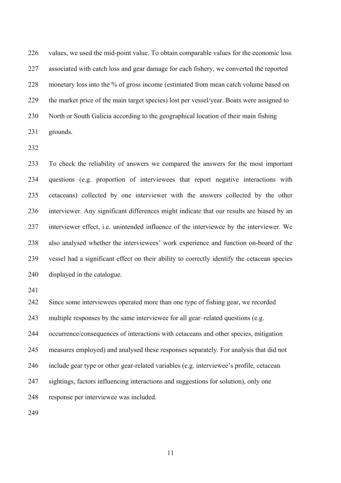226 values, we used the mid-point value. To obtain comparable values for the economic loss 227 associated with catch loss and gear damage for each fishery, we converted the reported 228 monetary loss into the % of gross income (estimated from mean catch volume based on 229 the market price of the main target species) lost per vessel/year. Boats were assigned to 230 North or South Galicia according to the geographical location of their main fishing 231 grounds.

232

233 To check the reliability of answers we compared the answers for the most important 234 questions (e.g. proportion of interviewees that report negative interactions with 235 cetaceans) collected by one interviewer with the answers collected by the other 236 interviewer. Any significant differences might indicate that our results are biased by an 237 interviewer effect, i.e. unintended influence of the interviewee by the interviewer. We 238 also analysed whether the interviewees' work experience and function on-board of the 239 vessel had a significant effect on their ability to correctly identify the cetacean species 240 displayed in the catalogue.

241

242 Since some interviewees operated more than one type of fishing gear, we recorded

243 multiple responses by the same interviewee for all gear–related questions (e.g.

244 occurrence/consequences of interactions with cetaceans and other species, mitigation

245 measures employed) and analysed these responses separately. For analysis that did not

246 include gear type or other gear-related variables (e.g. interviewee's profile, cetacean

247 sightings, factors influencing interactions and suggestions for solution), only one

248 response per interviewee was included.

249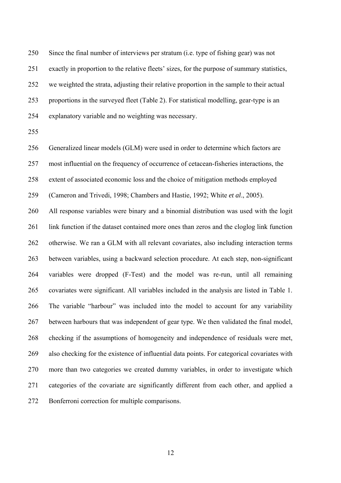250 Since the final number of interviews per stratum (i.e. type of fishing gear) was not 251 exactly in proportion to the relative fleets' sizes, for the purpose of summary statistics, 252 we weighted the strata, adjusting their relative proportion in the sample to their actual 253 proportions in the surveyed fleet (Table 2). For statistical modelling, gear-type is an 254 explanatory variable and no weighting was necessary.

255

256 Generalized linear models (GLM) were used in order to determine which factors are

257 most influential on the frequency of occurrence of cetacean-fisheries interactions, the

258 extent of associated economic loss and the choice of mitigation methods employed

259 (Cameron and Trivedi, 1998; Chambers and Hastie, 1992; White *et al*., 2005).

260 All response variables were binary and a binomial distribution was used with the logit 261 link function if the dataset contained more ones than zeros and the cloglog link function 262 otherwise. We ran a GLM with all relevant covariates, also including interaction terms 263 between variables, using a backward selection procedure. At each step, non-significant 264 variables were dropped (F-Test) and the model was re-run, until all remaining 265 covariates were significant. All variables included in the analysis are listed in Table 1. 266 The variable "harbour" was included into the model to account for any variability 267 between harbours that was independent of gear type. We then validated the final model, 268 checking if the assumptions of homogeneity and independence of residuals were met, 269 also checking for the existence of influential data points. For categorical covariates with 270 more than two categories we created dummy variables, in order to investigate which 271 categories of the covariate are significantly different from each other, and applied a 272 Bonferroni correction for multiple comparisons.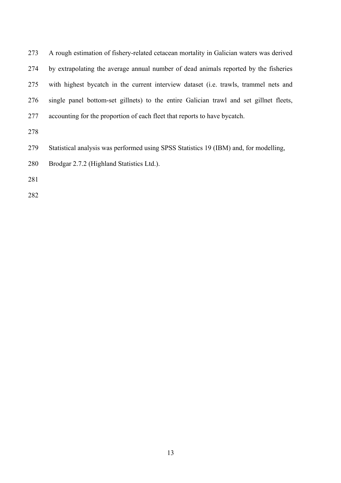| 273 | A rough estimation of fishery-related cetacean mortality in Galician waters was derived      |
|-----|----------------------------------------------------------------------------------------------|
| 274 | by extrapolating the average annual number of dead animals reported by the fisheries         |
| 275 | with highest bycatch in the current interview dataset ( <i>i.e.</i> trawls, trammel nets and |
| 276 | single panel bottom-set gillnets) to the entire Galician trawl and set gillnet fleets,       |
| 277 | accounting for the proportion of each fleet that reports to have bycatch.                    |
| 278 |                                                                                              |
| 279 | Statistical analysis was performed using SPSS Statistics 19 (IBM) and, for modelling,        |
| 280 | Brodgar 2.7.2 (Highland Statistics Ltd.).                                                    |
| 281 |                                                                                              |
| 282 |                                                                                              |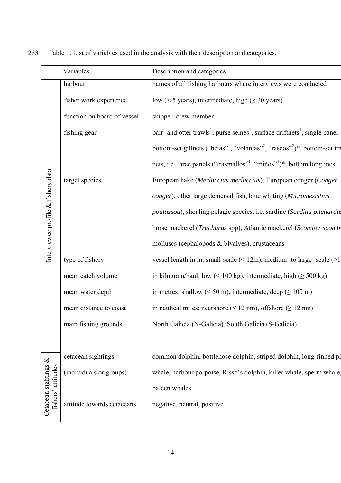|                                            | Variables                   | Description and categories                                                                                      |
|--------------------------------------------|-----------------------------|-----------------------------------------------------------------------------------------------------------------|
|                                            | harbour                     | names of all fishing harbours where interviews were conducted                                                   |
|                                            | fisher work experience      | low (< 5 years), intermediate, high ( $\geq$ 30 years)                                                          |
|                                            | function on board of vessel | skipper, crew member                                                                                            |
|                                            | fishing gear                | pair- and otter trawls <sup>1</sup> , purse seines <sup>1</sup> , surface driftnets <sup>1</sup> , single panel |
|                                            |                             | bottom-set gillnets ("betas" <sup>1</sup> , "volantas" <sup>2</sup> , "rascos" <sup>2</sup> )*, bottom-set tra  |
|                                            |                             | nets, i.e. three panels ("trasmallos" <sup>1</sup> , "miños" <sup>1</sup> )*, bottom longlines <sup>1</sup> ,   |
| Interviewee profile & fishery data         | target species              | European hake (Merluccius merluccius), European conger (Conger                                                  |
|                                            |                             | conger), other large demersal fish, blue whiting (Micromesistius                                                |
|                                            |                             | poutassou), shoaling pelagic species, i.e. sardine (Sardina pilchardus                                          |
|                                            |                             | horse mackerel (Trachurus spp), Atlantic mackerel (Scomber scombl                                               |
|                                            |                             | molluscs (cephalopods & bivalves), crustaceans                                                                  |
|                                            | type of fishery             | vessel length in m: small-scale (< 12m), medium- to large- scale ( $\geq$ 1                                     |
|                                            | mean catch volume           | in kilogram/haul: low (< 100 kg), intermediate, high ( $\geq$ 500 kg)                                           |
|                                            | mean water depth            | in metres: shallow ( $\leq 50$ m), intermediate, deep ( $\geq 100$ m)                                           |
|                                            | mean distance to coast      | in nautical miles: nearshore $(< 12$ nm), offshore $(\geq 12$ nm)                                               |
|                                            | main fishing grounds        | North Galicia (N-Galicia), South Galicia (S-Galicia)                                                            |
|                                            |                             |                                                                                                                 |
|                                            | cetacean sightings          | common dolphin, bottlenose dolphin, striped dolphin, long-finned pi                                             |
| Cetacean sightings &<br>fishers' attitudes | (individuals or groups)     | whale, harbour porpoise, Risso's dolphin, killer whale, sperm whale,                                            |
|                                            |                             | baleen whales                                                                                                   |
|                                            | attitude towards cetaceans  | negative, neutral, positive                                                                                     |
|                                            |                             |                                                                                                                 |

283 Table 1. List of variables used in the analysis with their description and categories.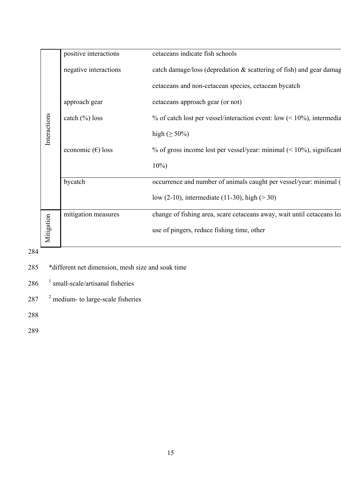|     |              | positive interactions                             | cetaceans indicate fish schools                                           |  |  |  |
|-----|--------------|---------------------------------------------------|---------------------------------------------------------------------------|--|--|--|
|     |              | negative interactions                             | catch damage/loss (depredation & scattering of fish) and gear damage      |  |  |  |
|     |              |                                                   | cetaceans and non-cetacean species, cetacean bycatch                      |  |  |  |
|     |              | approach gear                                     | cetaceans approach gear (or not)                                          |  |  |  |
|     |              | catch (%) loss                                    | % of catch lost per vessel/interaction event: low $(< 10\%$ ), intermedia |  |  |  |
|     | Interactions |                                                   | high $(\geq 50\%)$                                                        |  |  |  |
|     |              | economic $(\epsilon)$ loss                        | % of gross income lost per vessel/year: minimal $($ < 10%), significant   |  |  |  |
|     |              |                                                   | $10\%)$                                                                   |  |  |  |
|     |              | bycatch                                           | occurrence and number of animals caught per vessel/year: minimal (        |  |  |  |
|     |              |                                                   | low (2-10), intermediate (11-30), high ( $>$ 30)                          |  |  |  |
|     |              | mitigation measures                               | change of fishing area, scare cetaceans away, wait until cetaceans lea    |  |  |  |
|     | Mitigation   |                                                   | use of pingers, reduce fishing time, other                                |  |  |  |
| 284 |              |                                                   |                                                                           |  |  |  |
| 285 |              | *different net dimension, mesh size and soak time |                                                                           |  |  |  |
| 286 |              | $\frac{1}{2}$ small-scale/artisanal fisheries     |                                                                           |  |  |  |
| 287 |              | $2$ medium- to large-scale fisheries              |                                                                           |  |  |  |
| 288 |              |                                                   |                                                                           |  |  |  |
| 289 |              |                                                   |                                                                           |  |  |  |

- 285 \*different net dimension, mesh size and soak time
- $286$ <sup> $1$ </sup> small-scale/artisanal fisheries
- 287  $^2$  medium- to large-scale fisheries

288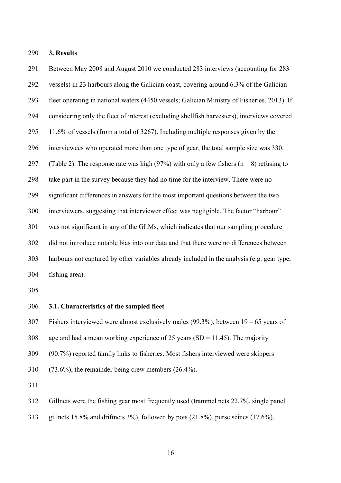290 **3. Results**

291 Between May 2008 and August 2010 we conducted 283 interviews (accounting for 283 292 vessels) in 23 harbours along the Galician coast, covering around 6.3% of the Galician 293 fleet operating in national waters (4450 vessels; Galician Ministry of Fisheries, 2013). If 294 considering only the fleet of interest (excluding shellfish harvesters), interviews covered 295 11.6% of vessels (from a total of 3267). Including multiple responses given by the 296 interviewees who operated more than one type of gear, the total sample size was 330. 297 (Table 2). The response rate was high (97%) with only a few fishers (n = 8) refusing to 298 take part in the survey because they had no time for the interview. There were no 299 significant differences in answers for the most important questions between the two 300 interviewers, suggesting that interviewer effect was negligible. The factor "harbour" 301 was not significant in any of the GLMs, which indicates that our sampling procedure 302 did not introduce notable bias into our data and that there were no differences between 303 harbours not captured by other variables already included in the analysis (e.g. gear type, 304 fishing area).

305

306 **3.1. Characteristics of the sampled fleet** 

307 Fishers interviewed were almost exclusively males (99.3%), between 19 – 65 years of

- 308 age and had a mean working experience of 25 years (SD = 11.45). The majority
- 309 (90.7%) reported family links to fisheries. Most fishers interviewed were skippers
- 310 (73.6%), the remainder being crew members (26.4%).

311

312 Gillnets were the fishing gear most frequently used (trammel nets 22.7%, single panel

313 gillnets 15.8% and driftnets 3%), followed by pots (21.8%), purse seines (17.6%),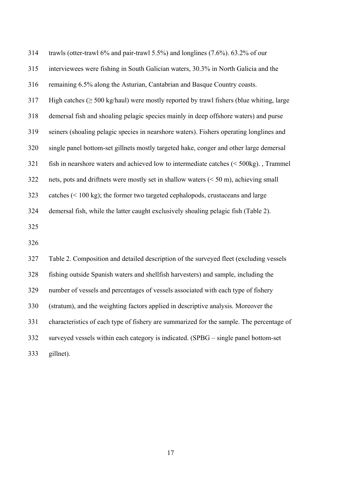| 314 | trawls (otter-trawl $6\%$ and pair-trawl 5.5%) and longlines (7.6%). 63.2% of our                    |
|-----|------------------------------------------------------------------------------------------------------|
| 315 | interviewees were fishing in South Galician waters, 30.3% in North Galicia and the                   |
| 316 | remaining 6.5% along the Asturian, Cantabrian and Basque Country coasts.                             |
| 317 | High catches $(\geq 500 \text{ kg/haul})$ were mostly reported by trawl fishers (blue whiting, large |
| 318 | demersal fish and shoaling pelagic species mainly in deep offshore waters) and purse                 |
| 319 | seiners (shoaling pelagic species in nearshore waters). Fishers operating longlines and              |
| 320 | single panel bottom-set gillnets mostly targeted hake, conger and other large demersal               |
| 321 | fish in nearshore waters and achieved low to intermediate catches $(500\text{kg})$ ., Trammel        |
| 322 | nets, pots and driftnets were mostly set in shallow waters $(50 \text{ m}), achieving small$         |
| 323 | catches $(< 100 \text{ kg})$ ; the former two targeted cephalopods, crustaceans and large            |
| 324 | demersal fish, while the latter caught exclusively shoaling pelagic fish (Table 2).                  |
| 325 |                                                                                                      |
| 326 |                                                                                                      |
| 327 | Table 2. Composition and detailed description of the surveyed fleet (excluding vessels               |
| 328 | fishing outside Spanish waters and shellfish harvesters) and sample, including the                   |
| 329 | number of vessels and percentages of vessels associated with each type of fishery                    |
| 330 | (stratum), and the weighting factors applied in descriptive analysis. Moreover the                   |
| 331 | characteristics of each type of fishery are summarized for the sample. The percentage of             |
| 332 | surveyed vessels within each category is indicated. (SPBG - single panel bottom-set                  |
|     |                                                                                                      |

333 gillnet).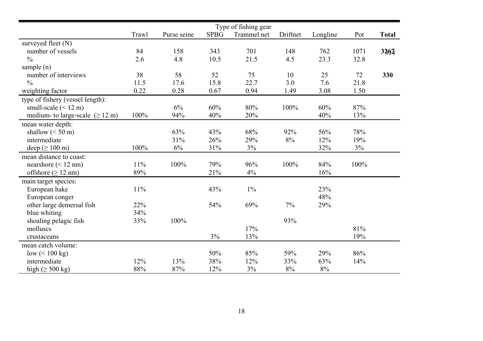|                                               |       |             |             | Type of fishing gear |          |          |       |              |
|-----------------------------------------------|-------|-------------|-------------|----------------------|----------|----------|-------|--------------|
|                                               | Trawl | Purse seine | <b>SPBG</b> | Trammel net          | Driftnet | Longline | Pot   | <b>Total</b> |
| surveyed fleet (N)                            |       |             |             |                      |          |          |       |              |
| number of vessels                             | 84    | 158         | 343         | 701                  | 148      | 762      | 1071  | 3367         |
| $\frac{0}{0}$                                 | 2.6   | 4.8         | 10.5        | 21.5                 | 4.5      | 23.3     | 32.8  |              |
| sample $(n)$                                  |       |             |             |                      |          |          |       |              |
| number of interviews                          | 38    | 58          | 52          | 75                   | 10       | 25       | 72    | 330          |
| $\frac{0}{0}$                                 | 11.5  | 17.6        | 15.8        | 22.7                 | 3.0      | 7.6      | 21.8  |              |
| weighting factor                              | 0.22  | 0.28        | 0.67        | 0.94                 | 1.49     | 3.08     | 1.50  |              |
| type of fishery (vessel length):              |       |             |             |                      |          |          |       |              |
| small-scale $(< 12 \text{ m})$                |       | 6%          | 60%         | 80%                  | 100%     | 60%      | 87%   |              |
| medium- to large-scale $( \geq 12 \text{ m})$ | 100%  | 94%         | 40%         | 20%                  |          | 40%      | 13%   |              |
| mean water depth:                             |       |             |             |                      |          |          |       |              |
| shallow $(< 50 \text{ m})$                    |       | 63%         | 43%         | 68%                  | 92%      | 56%      | 78%   |              |
| intermediate                                  |       | 31%         | 26%         | 29%                  | 8%       | 12%      | 19%   |              |
| deep ( $\geq 100$ m)                          | 100%  | $6\%$       | 31%         | 3%                   |          | 32%      | $3\%$ |              |
| mean distance to coast:                       |       |             |             |                      |          |          |       |              |
| nearshore $(< 12$ nm)                         | 11%   | 100%        | 79%         | 96%                  | 100%     | 84%      | 100%  |              |
| offshore $(\geq 12 \text{ nm})$               | 89%   |             | 21%         | 4%                   |          | 16%      |       |              |
| main target species:                          |       |             |             |                      |          |          |       |              |
| European hake                                 | 11%   |             | 43%         | $1\%$                |          | 23%      |       |              |
| European conger                               |       |             |             |                      |          | 48%      |       |              |
| other large demersal fish                     | 22%   |             | 54%         | 69%                  | $7\%$    | 29%      |       |              |
| blue whiting                                  | 34%   |             |             |                      |          |          |       |              |
| shoaling pelagic fish                         | 33%   | 100%        |             |                      | 93%      |          |       |              |
| molluscs                                      |       |             |             | 17%                  |          |          | 81%   |              |
| crustaceans                                   |       |             | 3%          | 13%                  |          |          | 19%   |              |
| mean catch volume:                            |       |             |             |                      |          |          |       |              |
| low $(< 100 \text{ kg})$                      |       |             | 50%         | 85%                  | 59%      | 29%      | 86%   |              |
| intermediate                                  | 12%   | 13%         | 38%         | 12%                  | 33%      | 63%      | 14%   |              |
| high $(\geq 500 \text{ kg})$                  | 88%   | 87%         | 12%         | 3%                   | $8\%$    | 8%       |       |              |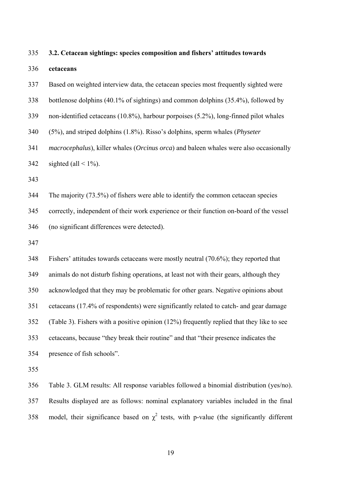335 **3.2. Cetacean sightings: species composition and fishers' attitudes towards**  336 **cetaceans**  337 Based on weighted interview data, the cetacean species most frequently sighted were 338 bottlenose dolphins (40.1% of sightings) and common dolphins (35.4%), followed by 339 non-identified cetaceans (10.8%), harbour porpoises (5.2%), long-finned pilot whales 340 (5%), and striped dolphins (1.8%). Risso's dolphins, sperm whales (*Physeter*  341 *macrocephalus*), killer whales (*Orcinus orca*) and baleen whales were also occasionally 342 sighted (all  $\leq 1\%$ ). 343 344 The majority (73.5%) of fishers were able to identify the common cetacean species 345 correctly, independent of their work experience or their function on-board of the vessel 346 (no significant differences were detected). 347 348 Fishers' attitudes towards cetaceans were mostly neutral (70.6%); they reported that 349 animals do not disturb fishing operations, at least not with their gears, although they 350 acknowledged that they may be problematic for other gears. Negative opinions about 351 cetaceans (17.4% of respondents) were significantly related to catch- and gear damage 352 (Table 3). Fishers with a positive opinion (12%) frequently replied that they like to see 353 cetaceans, because "they break their routine" and that "their presence indicates the 354 presence of fish schools".

355

356 Table 3. GLM results: All response variables followed a binomial distribution (yes/no). 357 Results displayed are as follows: nominal explanatory variables included in the final 358 model, their significance based on  $\chi^2$  tests, with p-value (the significantly different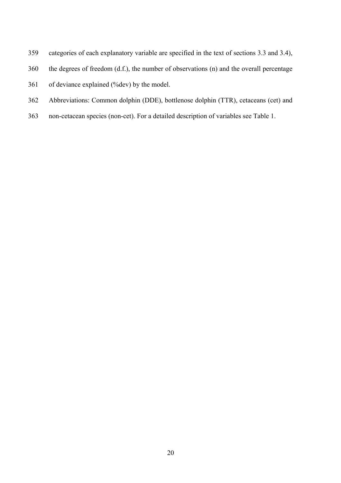- 359 categories of each explanatory variable are specified in the text of sections 3.3 and 3.4),
- 360 the degrees of freedom (d.f.), the number of observations (n) and the overall percentage
- 361 of deviance explained (%dev) by the model.
- 362 Abbreviations: Common dolphin (DDE), bottlenose dolphin (TTR), cetaceans (cet) and
- 363 non-cetacean species (non-cet). For a detailed description of variables see Table 1.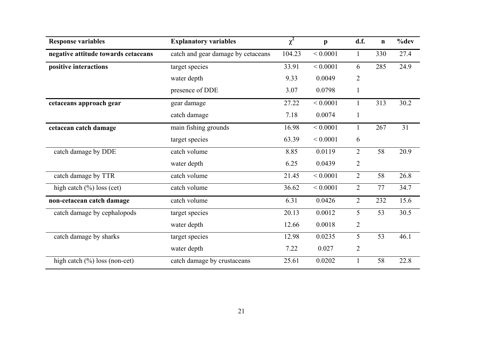| <b>Response variables</b>           | <b>Explanatory variables</b>       | $\chi^2$ | $\mathbf{p}$ | d.f.           | $\mathbf n$ | %dev |
|-------------------------------------|------------------------------------|----------|--------------|----------------|-------------|------|
| negative attitude towards cetaceans | catch and gear damage by cetaceans | 104.23   | ${}< 0.0001$ | $\mathbf{1}$   | 330         | 27.4 |
| positive interactions               | target species                     | 33.91    | ${}< 0.0001$ | 6              | 285         | 24.9 |
|                                     | water depth                        | 9.33     | 0.0049       | $\overline{2}$ |             |      |
|                                     | presence of DDE                    | 3.07     | 0.0798       | $\mathbf{1}$   |             |      |
| cetaceans approach gear             | gear damage                        | 27.22    | ${}< 0.0001$ | $\mathbf{1}$   | 313         | 30.2 |
|                                     | catch damage                       | 7.18     | 0.0074       | $\mathbf{1}$   |             |      |
| cetacean catch damage               | main fishing grounds               | 16.98    | ${}< 0.0001$ | 1              | 267         | 31   |
|                                     | target species                     | 63.39    | ${}< 0.0001$ | 6              |             |      |
| catch damage by DDE                 | catch volume                       | 8.85     | 0.0119       | $\overline{2}$ | 58          | 20.9 |
|                                     | water depth                        | 6.25     | 0.0439       | $\overline{2}$ |             |      |
| catch damage by TTR                 | catch volume                       | 21.45    | ${}< 0.0001$ | $\overline{2}$ | 58          | 26.8 |
| high catch $(\%)$ loss (cet)        | catch volume                       | 36.62    | ${}< 0.0001$ | $\overline{2}$ | 77          | 34.7 |
| non-cetacean catch damage           | catch volume                       | 6.31     | 0.0426       | $\overline{2}$ | 232         | 15.6 |
| catch damage by cephalopods         | target species                     | 20.13    | 0.0012       | 5              | 53          | 30.5 |
|                                     | water depth                        | 12.66    | 0.0018       | $\overline{2}$ |             |      |
| catch damage by sharks              | target species                     | 12.98    | 0.0235       | 5              | 53          | 46.1 |
|                                     | water depth                        | 7.22     | 0.027        | $\overline{2}$ |             |      |
| high catch $(\%)$ loss (non-cet)    | catch damage by crustaceans        | 25.61    | 0.0202       |                | 58          | 22.8 |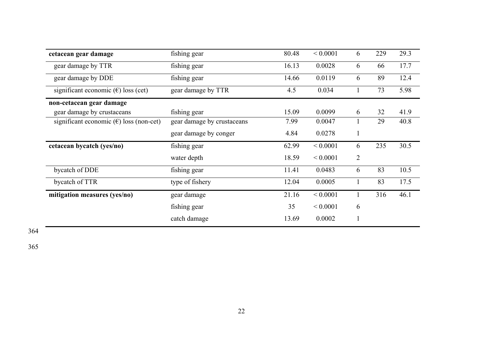| cetacean gear damage                             | fishing gear               | 80.48 | ${}< 0.0001$ | 6              | 229 | 29.3 |
|--------------------------------------------------|----------------------------|-------|--------------|----------------|-----|------|
| gear damage by TTR                               | fishing gear               | 16.13 | 0.0028       | 6              | 66  | 17.7 |
| gear damage by DDE                               | fishing gear               | 14.66 | 0.0119       | 6              | 89  | 12.4 |
| significant economic $(\epsilon)$ loss (cet)     | gear damage by TTR         | 4.5   | 0.034        |                | 73  | 5.98 |
| non-cetacean gear damage                         |                            |       |              |                |     |      |
| gear damage by crustaceans                       | fishing gear               | 15.09 | 0.0099       | 6              | 32  | 41.9 |
| significant economic $(\epsilon)$ loss (non-cet) | gear damage by crustaceans | 7.99  | 0.0047       |                | 29  | 40.8 |
|                                                  | gear damage by conger      | 4.84  | 0.0278       | $\mathbf{1}$   |     |      |
| cetacean bycatch (yes/no)                        | fishing gear               | 62.99 | ${}< 0.0001$ | 6              | 235 | 30.5 |
|                                                  | water depth                | 18.59 | ${}< 0.0001$ | $\overline{2}$ |     |      |
| bycatch of DDE                                   | fishing gear               | 11.41 | 0.0483       | 6              | 83  | 10.5 |
| bycatch of TTR                                   | type of fishery            | 12.04 | 0.0005       |                | 83  | 17.5 |
| mitigation measures (yes/no)                     | gear damage                | 21.16 | ${}< 0.0001$ |                | 316 | 46.1 |
|                                                  | fishing gear               | 35    | ${}< 0.0001$ | 6              |     |      |
|                                                  | catch damage               | 13.69 | 0.0002       |                |     |      |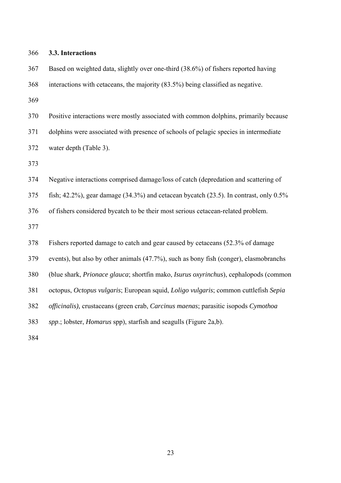| 366 | 3.3. Interactions                                                                              |
|-----|------------------------------------------------------------------------------------------------|
| 367 | Based on weighted data, slightly over one-third (38.6%) of fishers reported having             |
| 368 | interactions with cetaceans, the majority (83.5%) being classified as negative.                |
| 369 |                                                                                                |
| 370 | Positive interactions were mostly associated with common dolphins, primarily because           |
| 371 | dolphins were associated with presence of schools of pelagic species in intermediate           |
| 372 | water depth (Table 3).                                                                         |
| 373 |                                                                                                |
| 374 | Negative interactions comprised damage/loss of catch (depredation and scattering of            |
| 375 | fish; 42.2%), gear damage $(34.3\%)$ and cetacean bycatch $(23.5)$ . In contrast, only $0.5\%$ |
| 376 | of fishers considered bycatch to be their most serious cetacean-related problem.               |
| 377 |                                                                                                |
| 378 | Fishers reported damage to catch and gear caused by cetaceans (52.3% of damage                 |
| 379 | events), but also by other animals (47.7%), such as bony fish (conger), elasmobranchs          |
| 380 | (blue shark, Prionace glauca; shortfin mako, Isurus oxyrinchus), cephalopods (common           |
| 381 | octopus, Octopus vulgaris; European squid, Loligo vulgaris; common cuttlefish Sepia            |
| 382 | officinalis), crustaceans (green crab, Carcinus maenas; parasitic isopods Cymothoa             |
| 383 | spp.; lobster, <i>Homarus</i> spp), starfish and seagulls (Figure 2a,b).                       |
| 384 |                                                                                                |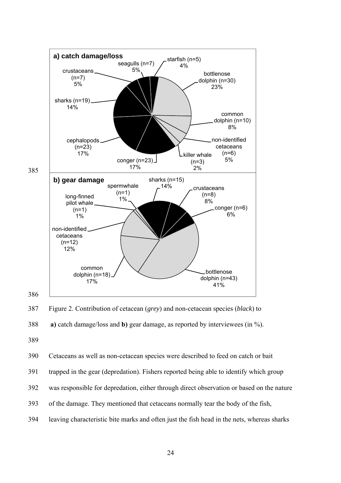

387 Figure 2. Contribution of cetacean (*grey*) and non-cetacean species (*black*) to



390 Cetaceans as well as non-cetacean species were described to feed on catch or bait

- 391 trapped in the gear (depredation). Fishers reported being able to identify which group
- 392 was responsible for depredation, either through direct observation or based on the nature
- 393 of the damage. They mentioned that cetaceans normally tear the body of the fish,
- 394 leaving characteristic bite marks and often just the fish head in the nets, whereas sharks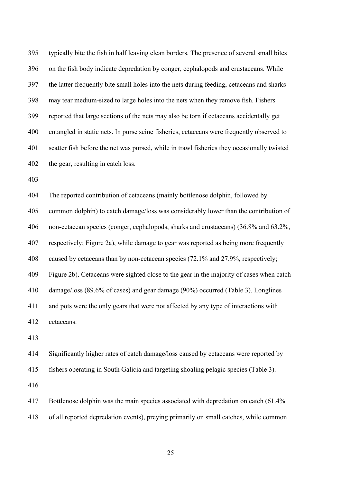395 typically bite the fish in half leaving clean borders. The presence of several small bites 396 on the fish body indicate depredation by conger, cephalopods and crustaceans. While 397 the latter frequently bite small holes into the nets during feeding, cetaceans and sharks 398 may tear medium-sized to large holes into the nets when they remove fish. Fishers 399 reported that large sections of the nets may also be torn if cetaceans accidentally get 400 entangled in static nets. In purse seine fisheries, cetaceans were frequently observed to 401 scatter fish before the net was pursed, while in trawl fisheries they occasionally twisted 402 the gear, resulting in catch loss.

403

404 The reported contribution of cetaceans (mainly bottlenose dolphin, followed by 405 common dolphin) to catch damage/loss was considerably lower than the contribution of 406 non-cetacean species (conger, cephalopods, sharks and crustaceans) (36.8% and 63.2%, 407 respectively; Figure 2a), while damage to gear was reported as being more frequently 408 caused by cetaceans than by non-cetacean species (72.1% and 27.9%, respectively; 409 Figure 2b). Cetaceans were sighted close to the gear in the majority of cases when catch 410 damage/loss (89.6% of cases) and gear damage (90%) occurred (Table 3). Longlines 411 and pots were the only gears that were not affected by any type of interactions with 412 cetaceans.

413

414 Significantly higher rates of catch damage/loss caused by cetaceans were reported by 415 fishers operating in South Galicia and targeting shoaling pelagic species (Table 3).

416

417 Bottlenose dolphin was the main species associated with depredation on catch (61.4% 418 of all reported depredation events), preying primarily on small catches, while common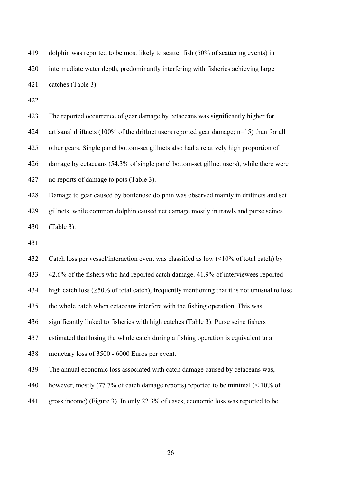419 dolphin was reported to be most likely to scatter fish (50% of scattering events) in 420 intermediate water depth, predominantly interfering with fisheries achieving large 421 catches (Table 3).

422

423 The reported occurrence of gear damage by cetaceans was significantly higher for 424 artisanal driftnets (100% of the driftnet users reported gear damage; n=15) than for all 425 other gears. Single panel bottom-set gillnets also had a relatively high proportion of 426 damage by cetaceans (54.3% of single panel bottom-set gillnet users), while there were 427 no reports of damage to pots (Table 3).

428 Damage to gear caused by bottlenose dolphin was observed mainly in driftnets and set 429 gillnets, while common dolphin caused net damage mostly in trawls and purse seines 430 (Table 3).

431

432 Catch loss per vessel/interaction event was classified as low (<10% of total catch) by

433 42.6% of the fishers who had reported catch damage. 41.9% of interviewees reported

434 high catch loss (≥50% of total catch), frequently mentioning that it is not unusual to lose

435 the whole catch when cetaceans interfere with the fishing operation. This was

436 significantly linked to fisheries with high catches (Table 3). Purse seine fishers

437 estimated that losing the whole catch during a fishing operation is equivalent to a

438 monetary loss of 3500 - 6000 Euros per event.

439 The annual economic loss associated with catch damage caused by cetaceans was,

- 440 however, mostly (77.7% of catch damage reports) reported to be minimal (< 10% of
- 441 gross income) (Figure 3). In only 22.3% of cases, economic loss was reported to be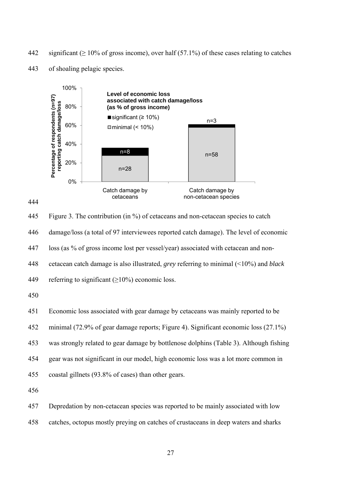442 significant ( $\geq 10\%$  of gross income), over half (57.1%) of these cases relating to catches



443 of shoaling pelagic species.



445 Figure 3. The contribution (in %) of cetaceans and non-cetacean species to catch 446 damage/loss (a total of 97 interviewees reported catch damage). The level of economic 447 loss (as % of gross income lost per vessel/year) associated with cetacean and non-448 cetacean catch damage is also illustrated, *grey* referring to minimal (<10%) and *black* 449 referring to significant  $(\geq 10\%)$  economic loss.

450

451 Economic loss associated with gear damage by cetaceans was mainly reported to be

452 minimal (72.9% of gear damage reports; Figure 4). Significant economic loss (27.1%)

453 was strongly related to gear damage by bottlenose dolphins (Table 3). Although fishing

454 gear was not significant in our model, high economic loss was a lot more common in

455 coastal gillnets (93.8% of cases) than other gears.

456

457 Depredation by non-cetacean species was reported to be mainly associated with low 458 catches, octopus mostly preying on catches of crustaceans in deep waters and sharks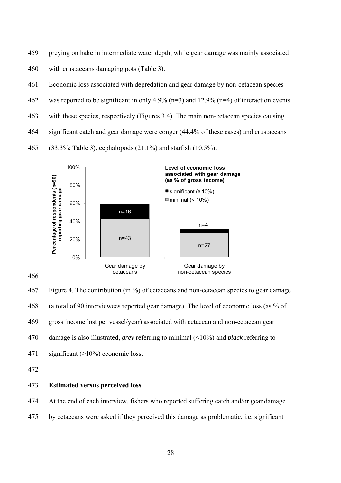- 459 preying on hake in intermediate water depth, while gear damage was mainly associated
- 460 with crustaceans damaging pots (Table 3).
- 461 Economic loss associated with depredation and gear damage by non-cetacean species
- 462 was reported to be significant in only 4.9% (n=3) and 12.9% (n=4) of interaction events
- 463 with these species, respectively (Figures 3,4). The main non-cetacean species causing
- 464 significant catch and gear damage were conger (44.4% of these cases) and crustaceans
- 465 (33.3%; Table 3), cephalopods (21.1%) and starfish (10.5%).



467 Figure 4. The contribution (in %) of cetaceans and non-cetacean species to gear damage 468 (a total of 90 interviewees reported gear damage). The level of economic loss (as % of 469 gross income lost per vessel/year) associated with cetacean and non-cetacean gear 470 damage is also illustrated, *grey* referring to minimal (<10%) and *black* referring to 471 significant  $(\geq 10\%)$  economic loss.

#### 473 **Estimated versus perceived loss**

474 At the end of each interview, fishers who reported suffering catch and/or gear damage

475 by cetaceans were asked if they perceived this damage as problematic, i.e. significant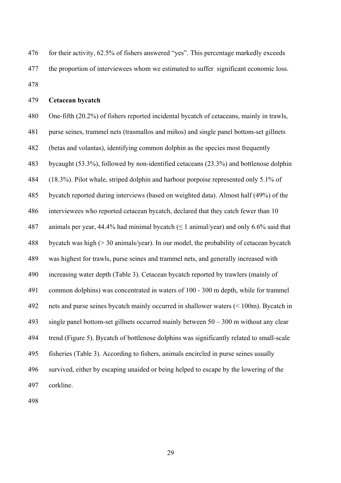| 476 | for their activity, 62.5% of fishers answered "yes". This percentage markedly exceeds |
|-----|---------------------------------------------------------------------------------------|
| 477 | the proportion of interviewees whom we estimated to suffer significant economic loss. |
| 478 |                                                                                       |

479 **Cetacean bycatch** 

480 One-fifth (20.2%) of fishers reported incidental bycatch of cetaceans, mainly in trawls, 481 purse seines, trammel nets (trasmallos and miños) and single panel bottom-set gillnets 482 (betas and volantas), identifying common dolphin as the species most frequently 483 bycaught (53.3%), followed by non-identified cetaceans (23.3%) and bottlenose dolphin 484 (18.3%). Pilot whale, striped dolphin and harbour porpoise represented only 5.1% of 485 bycatch reported during interviews (based on weighted data). Almost half (49%) of the 486 interviewees who reported cetacean bycatch, declared that they catch fewer than 10 487 animals per year, 44.4% had minimal bycatch ( $\leq 1$  animal/year) and only 6.6% said that 488 bycatch was high (> 30 animals/year). In our model, the probability of cetacean bycatch 489 was highest for trawls, purse seines and trammel nets, and generally increased with 490 increasing water depth (Table 3). Cetacean bycatch reported by trawlers (mainly of 491 common dolphins) was concentrated in waters of 100 - 300 m depth, while for trammel 492 nets and purse seines bycatch mainly occurred in shallower waters (< 100m). Bycatch in 493 single panel bottom-set gillnets occurred mainly between 50 – 300 m without any clear 494 trend (Figure 5). Bycatch of bottlenose dolphins was significantly related to small-scale 495 fisheries (Table 3). According to fishers, animals encircled in purse seines usually 496 survived, either by escaping unaided or being helped to escape by the lowering of the 497 corkline.

498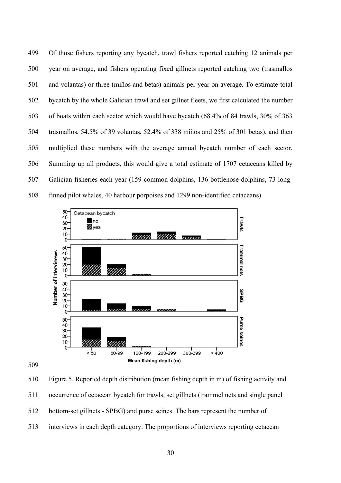499 Of those fishers reporting any bycatch, trawl fishers reported catching 12 animals per 500 year on average, and fishers operating fixed gillnets reported catching two (trasmallos 501 and volantas) or three (miños and betas) animals per year on average. To estimate total 502 bycatch by the whole Galician trawl and set gillnet fleets, we first calculated the number 503 of boats within each sector which would have bycatch (68.4% of 84 trawls, 30% of 363 504 trasmallos, 54.5% of 39 volantas, 52.4% of 338 miños and 25% of 301 betas), and then 505 multiplied these numbers with the average annual bycatch number of each sector. 506 Summing up all products, this would give a total estimate of 1707 cetaceans killed by 507 Galician fisheries each year (159 common dolphins, 136 bottlenose dolphins, 73 long-508 finned pilot whales, 40 harbour porpoises and 1299 non-identified cetaceans).



509

510 Figure 5. Reported depth distribution (mean fishing depth in m) of fishing activity and 511 occurrence of cetacean bycatch for trawls, set gillnets (trammel nets and single panel 512 bottom-set gillnets - SPBG) and purse seines. The bars represent the number of 513 interviews in each depth category. The proportions of interviews reporting cetacean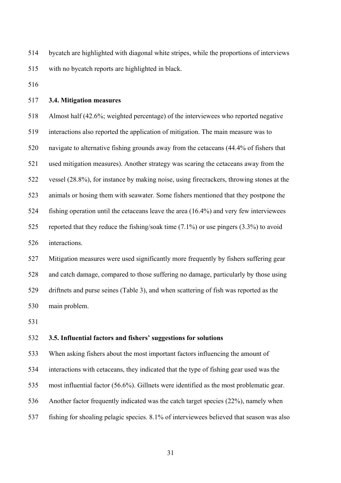514 bycatch are highlighted with diagonal white stripes, while the proportions of interviews 515 with no bycatch reports are highlighted in black.

516

#### 517 **3.4. Mitigation measures**

518 Almost half (42.6%; weighted percentage) of the interviewees who reported negative 519 interactions also reported the application of mitigation. The main measure was to 520 navigate to alternative fishing grounds away from the cetaceans (44.4% of fishers that 521 used mitigation measures). Another strategy was scaring the cetaceans away from the 522 vessel (28.8%), for instance by making noise, using firecrackers, throwing stones at the 523 animals or hosing them with seawater. Some fishers mentioned that they postpone the 524 fishing operation until the cetaceans leave the area (16.4%) and very few interviewees 525 reported that they reduce the fishing/soak time (7.1%) or use pingers (3.3%) to avoid 526 interactions. 527 Mitigation measures were used significantly more frequently by fishers suffering gear 528 and catch damage, compared to those suffering no damage, particularly by those using 529 driftnets and purse seines (Table 3), and when scattering of fish was reported as the

530 main problem.

531

#### 532 **3.5. Influential factors and fishers' suggestions for solutions**

533 When asking fishers about the most important factors influencing the amount of

534 interactions with cetaceans, they indicated that the type of fishing gear used was the

535 most influential factor (56.6%). Gillnets were identified as the most problematic gear.

536 Another factor frequently indicated was the catch target species (22%), namely when

537 fishing for shoaling pelagic species. 8.1% of interviewees believed that season was also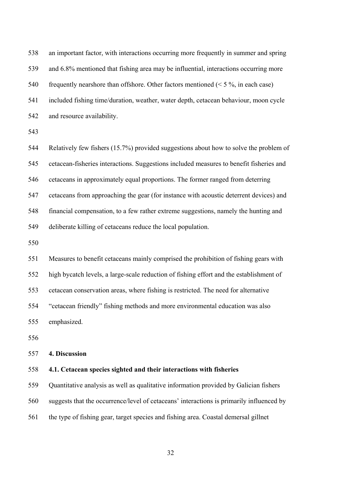| 538 | an important factor, with interactions occurring more frequently in summer and spring    |
|-----|------------------------------------------------------------------------------------------|
| 539 | and 6.8% mentioned that fishing area may be influential, interactions occurring more     |
| 540 | frequently nearshore than offshore. Other factors mentioned ( $\leq$ 5 %, in each case)  |
| 541 | included fishing time/duration, weather, water depth, cetacean behaviour, moon cycle     |
| 542 | and resource availability.                                                               |
| 543 |                                                                                          |
| 544 | Relatively few fishers (15.7%) provided suggestions about how to solve the problem of    |
| 545 | cetacean-fisheries interactions. Suggestions included measures to benefit fisheries and  |
| 546 | cetaceans in approximately equal proportions. The former ranged from deterring           |
| 547 | cetaceans from approaching the gear (for instance with acoustic deterrent devices) and   |
| 548 | financial compensation, to a few rather extreme suggestions, namely the hunting and      |
| 549 | deliberate killing of cetaceans reduce the local population.                             |
| 550 |                                                                                          |
| 551 | Measures to benefit cetaceans mainly comprised the prohibition of fishing gears with     |
| 552 | high bycatch levels, a large-scale reduction of fishing effort and the establishment of  |
| 553 | cetacean conservation areas, where fishing is restricted. The need for alternative       |
| 554 | "cetacean friendly" fishing methods and more environmental education was also            |
| 555 | emphasized.                                                                              |
| 556 |                                                                                          |
| 557 | 4. Discussion                                                                            |
| 558 | 4.1. Cetacean species sighted and their interactions with fisheries                      |
| 559 | Quantitative analysis as well as qualitative information provided by Galician fishers    |
| 560 | suggests that the occurrence/level of cetaceans' interactions is primarily influenced by |
|     |                                                                                          |

561 the type of fishing gear, target species and fishing area. Coastal demersal gillnet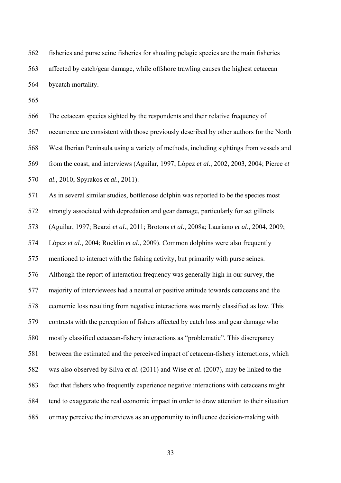562 fisheries and purse seine fisheries for shoaling pelagic species are the main fisheries 563 affected by catch/gear damage, while offshore trawling causes the highest cetacean 564 bycatch mortality.

565

566 The cetacean species sighted by the respondents and their relative frequency of

567 occurrence are consistent with those previously described by other authors for the North

568 West Iberian Peninsula using a variety of methods, including sightings from vessels and

569 from the coast, and interviews (Aguilar, 1997; López *et al*., 2002, 2003, 2004; Pierce *et* 

570 *al*., 2010; Spyrakos *et al*., 2011).

571 As in several similar studies, bottlenose dolphin was reported to be the species most

572 strongly associated with depredation and gear damage, particularly for set gillnets

573 (Aguilar, 1997; Bearzi *et al*., 2011; Brotons *et al*., 2008a; Lauriano *et al*., 2004, 2009;

574 López *et al*., 2004; Rocklin *et al*., 2009). Common dolphins were also frequently

575 mentioned to interact with the fishing activity, but primarily with purse seines.

576 Although the report of interaction frequency was generally high in our survey, the

577 majority of interviewees had a neutral or positive attitude towards cetaceans and the

578 economic loss resulting from negative interactions was mainly classified as low. This

579 contrasts with the perception of fishers affected by catch loss and gear damage who

580 mostly classified cetacean-fishery interactions as "problematic". This discrepancy

581 between the estimated and the perceived impact of cetacean-fishery interactions, which

582 was also observed by Silva *et al*. (2011) and Wise *et al*. (2007), may be linked to the

583 fact that fishers who frequently experience negative interactions with cetaceans might

584 tend to exaggerate the real economic impact in order to draw attention to their situation

585 or may perceive the interviews as an opportunity to influence decision-making with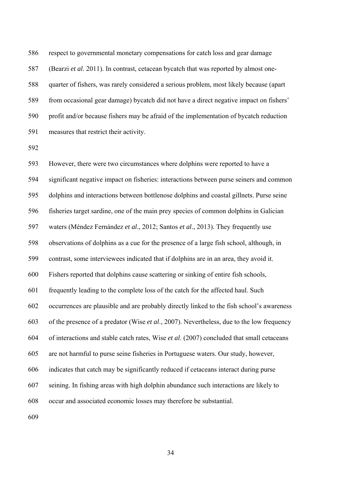586 respect to governmental monetary compensations for catch loss and gear damage 587 (Bearzi *et al*. 2011). In contrast, cetacean bycatch that was reported by almost one-588 quarter of fishers, was rarely considered a serious problem, most likely because (apart 589 from occasional gear damage) bycatch did not have a direct negative impact on fishers' 590 profit and/or because fishers may be afraid of the implementation of bycatch reduction 591 measures that restrict their activity.

592

593 However, there were two circumstances where dolphins were reported to have a 594 significant negative impact on fisheries: interactions between purse seiners and common 595 dolphins and interactions between bottlenose dolphins and coastal gillnets. Purse seine 596 fisheries target sardine, one of the main prey species of common dolphins in Galician 597 waters (Méndez Fernández *et al*., 2012; Santos *et al*., 2013). They frequently use 598 observations of dolphins as a cue for the presence of a large fish school, although, in 599 contrast, some interviewees indicated that if dolphins are in an area, they avoid it. 600 Fishers reported that dolphins cause scattering or sinking of entire fish schools, 601 frequently leading to the complete loss of the catch for the affected haul. Such 602 occurrences are plausible and are probably directly linked to the fish school's awareness 603 of the presence of a predator (Wise *et al*., 2007). Nevertheless, due to the low frequency 604 of interactions and stable catch rates, Wise *et al*. (2007) concluded that small cetaceans 605 are not harmful to purse seine fisheries in Portuguese waters. Our study, however, 606 indicates that catch may be significantly reduced if cetaceans interact during purse 607 seining. In fishing areas with high dolphin abundance such interactions are likely to 608 occur and associated economic losses may therefore be substantial.

609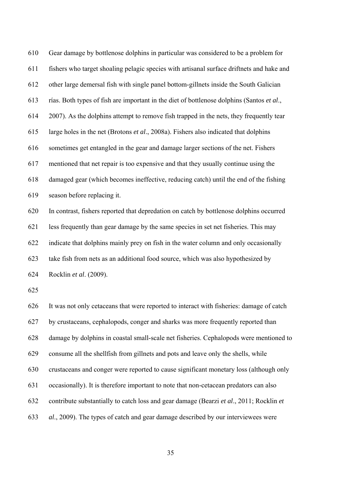610 Gear damage by bottlenose dolphins in particular was considered to be a problem for 611 fishers who target shoaling pelagic species with artisanal surface driftnets and hake and 612 other large demersal fish with single panel bottom-gillnets inside the South Galician 613 rías. Both types of fish are important in the diet of bottlenose dolphins (Santos *et al*., 614 2007). As the dolphins attempt to remove fish trapped in the nets, they frequently tear 615 large holes in the net (Brotons *et al*., 2008a). Fishers also indicated that dolphins 616 sometimes get entangled in the gear and damage larger sections of the net. Fishers 617 mentioned that net repair is too expensive and that they usually continue using the 618 damaged gear (which becomes ineffective, reducing catch) until the end of the fishing 619 season before replacing it. 620 In contrast, fishers reported that depredation on catch by bottlenose dolphins occurred 621 less frequently than gear damage by the same species in set net fisheries. This may

622 indicate that dolphins mainly prey on fish in the water column and only occasionally 623 take fish from nets as an additional food source, which was also hypothesized by 624 Rocklin *et al*. (2009).

625

626 It was not only cetaceans that were reported to interact with fisheries: damage of catch 627 by crustaceans, cephalopods, conger and sharks was more frequently reported than 628 damage by dolphins in coastal small-scale net fisheries. Cephalopods were mentioned to 629 consume all the shellfish from gillnets and pots and leave only the shells, while 630 crustaceans and conger were reported to cause significant monetary loss (although only 631 occasionally). It is therefore important to note that non-cetacean predators can also 632 contribute substantially to catch loss and gear damage (Bearzi *et al*., 2011; Rocklin *et*  633 *al*., 2009). The types of catch and gear damage described by our interviewees were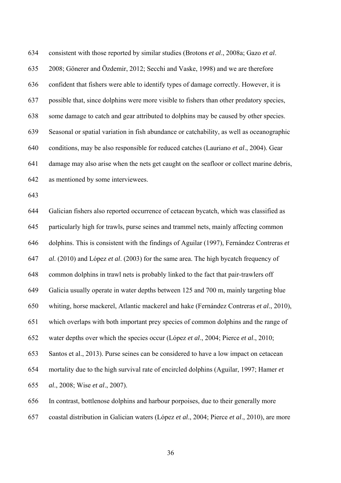634 consistent with those reported by similar studies (Brotons *et al*., 2008a; Gazo *et al*. 635 2008; Gönerer and Özdemir, 2012; Secchi and Vaske, 1998) and we are therefore 636 confident that fishers were able to identify types of damage correctly. However, it is 637 possible that, since dolphins were more visible to fishers than other predatory species, 638 some damage to catch and gear attributed to dolphins may be caused by other species. 639 Seasonal or spatial variation in fish abundance or catchability, as well as oceanographic 640 conditions, may be also responsible for reduced catches (Lauriano *et al*., 2004). Gear 641 damage may also arise when the nets get caught on the seafloor or collect marine debris, 642 as mentioned by some interviewees.

643

644 Galician fishers also reported occurrence of cetacean bycatch, which was classified as 645 particularly high for trawls, purse seines and trammel nets, mainly affecting common 646 dolphins. This is consistent with the findings of Aguilar (1997), Fernández Contreras *et*  647 *al*. (2010) and López *et al*. (2003) for the same area. The high bycatch frequency of 648 common dolphins in trawl nets is probably linked to the fact that pair-trawlers off 649 Galicia usually operate in water depths between 125 and 700 m, mainly targeting blue 650 whiting, horse mackerel, Atlantic mackerel and hake (Fernández Contreras *et al*., 2010), 651 which overlaps with both important prey species of common dolphins and the range of 652 water depths over which the species occur (López *et al*., 2004; Pierce *et al*., 2010; 653 Santos et al., 2013). Purse seines can be considered to have a low impact on cetacean 654 mortality due to the high survival rate of encircled dolphins (Aguilar, 1997; Hamer *et*  655 *al*., 2008; Wise *et al*., 2007). 656 In contrast, bottlenose dolphins and harbour porpoises, due to their generally more

657 coastal distribution in Galician waters (López *et al*., 2004; Pierce *et al*., 2010), are more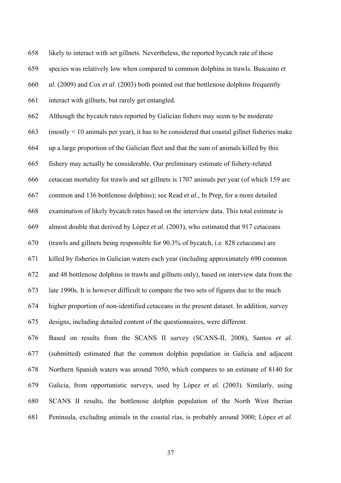658 likely to interact with set gillnets. Nevertheless, the reported bycatch rate of these

659 species was relatively low when compared to common dolphins in trawls. Buscaino *et* 

660 *al*. (2009) and Cox *et al*. (2003) both pointed out that bottlenose dolphins frequently

661 interact with gillnets, but rarely get entangled.

662 Although the bycatch rates reported by Galician fishers may seem to be moderate

663 (mostly < 10 animals per year), it has to be considered that coastal gillnet fisheries make

664 up a large proportion of the Galician fleet and that the sum of animals killed by this

665 fishery may actually be considerable. Our preliminary estimate of fishery-related

666 cetacean mortality for trawls and set gillnets is 1707 animals per year (of which 159 are

667 common and 136 bottlenose dolphins); see Read *et al*., In Prep, for a more detailed

668 examination of likely bycatch rates based on the interview data. This total estimate is

669 almost double that derived by López *et al*. (2003), who estimated that 917 cetaceans

670 (trawls and gillnets being responsible for 90.3% of bycatch, i.e. 828 cetaceans) are

671 killed by fisheries in Galician waters each year (including approximately 690 common

672 and 48 bottlenose dolphins in trawls and gillnets only), based on interview data from the

673 late 1990s. It is however difficult to compare the two sets of figures due to the much

674 higher proportion of non-identified cetaceans in the present dataset. In addition, survey

675 designs, including detailed content of the questionnaires, were different.

676 Based on results from the SCANS II survey (SCANS-II, 2008), Santos *et al.* 677 (submitted) estimated that the common dolphin population in Galicia and adjacent 678 Northern Spanish waters was around 7050, which compares to an estimate of 8140 for 679 Galicia, from opportunistic surveys, used by López *et al.* (2003). Similarly, using 680 SCANS II results, the bottlenose dolphin population of the North West Iberian 681 Peninsula, excluding animals in the coastal rías, is probably around 3000; López *et al.*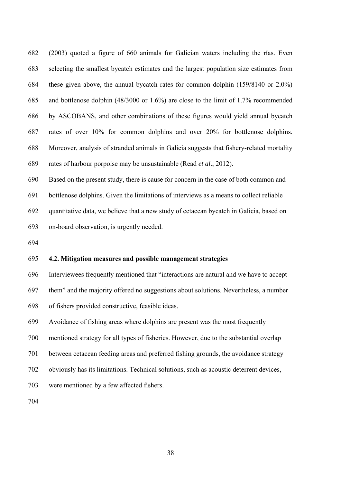682 (2003) quoted a figure of 660 animals for Galician waters including the rías. Even 683 selecting the smallest bycatch estimates and the largest population size estimates from 684 these given above, the annual bycatch rates for common dolphin (159/8140 or 2.0%) 685 and bottlenose dolphin (48/3000 or 1.6%) are close to the limit of 1.7% recommended 686 by ASCOBANS, and other combinations of these figures would yield annual bycatch 687 rates of over 10% for common dolphins and over 20% for bottlenose dolphins. 688 Moreover, analysis of stranded animals in Galicia suggests that fishery-related mortality 689 rates of harbour porpoise may be unsustainable (Read *et al*., 2012).

690 Based on the present study, there is cause for concern in the case of both common and

691 bottlenose dolphins. Given the limitations of interviews as a means to collect reliable

692 quantitative data, we believe that a new study of cetacean bycatch in Galicia, based on

693 on-board observation, is urgently needed.

694

### 695 **4.2. Mitigation measures and possible management strategies**

696 Interviewees frequently mentioned that "interactions are natural and we have to accept

697 them" and the majority offered no suggestions about solutions. Nevertheless, a number

698 of fishers provided constructive, feasible ideas.

699 Avoidance of fishing areas where dolphins are present was the most frequently

700 mentioned strategy for all types of fisheries. However, due to the substantial overlap

701 between cetacean feeding areas and preferred fishing grounds, the avoidance strategy

- 702 obviously has its limitations. Technical solutions, such as acoustic deterrent devices,
- 703 were mentioned by a few affected fishers.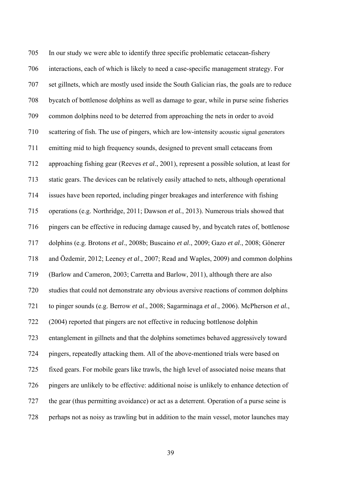705 In our study we were able to identify three specific problematic cetacean-fishery 706 interactions, each of which is likely to need a case-specific management strategy. For 707 set gillnets, which are mostly used inside the South Galician rías, the goals are to reduce 708 bycatch of bottlenose dolphins as well as damage to gear, while in purse seine fisheries 709 common dolphins need to be deterred from approaching the nets in order to avoid 710 scattering of fish. The use of pingers, which are low-intensity acoustic signal generators 711 emitting mid to high frequency sounds, designed to prevent small cetaceans from 712 approaching fishing gear (Reeves *et al*., 2001), represent a possible solution, at least for 713 static gears. The devices can be relatively easily attached to nets, although operational 714 issues have been reported, including pinger breakages and interference with fishing 715 operations (e.g. Northridge, 2011; Dawson *et al.*, 2013). Numerous trials showed that 716 pingers can be effective in reducing damage caused by, and bycatch rates of, bottlenose 717 dolphins (e.g. Brotons *et al*., 2008b; Buscaino *et al*., 2009; Gazo *et al*., 2008; Gönerer 718 and Özdemir, 2012; Leeney *et al*., 2007; Read and Waples, 2009) and common dolphins 719 (Barlow and Cameron, 2003; Carretta and Barlow, 2011), although there are also 720 studies that could not demonstrate any obvious aversive reactions of common dolphins 721 to pinger sounds (e.g. Berrow *et al*., 2008; Sagarminaga *et al*., 2006). McPherson *et al.*, 722 (2004) reported that pingers are not effective in reducing bottlenose dolphin 723 entanglement in gillnets and that the dolphins sometimes behaved aggressively toward 724 pingers, repeatedly attacking them. All of the above-mentioned trials were based on 725 fixed gears. For mobile gears like trawls, the high level of associated noise means that 726 pingers are unlikely to be effective: additional noise is unlikely to enhance detection of 727 the gear (thus permitting avoidance) or act as a deterrent. Operation of a purse seine is 728 perhaps not as noisy as trawling but in addition to the main vessel, motor launches may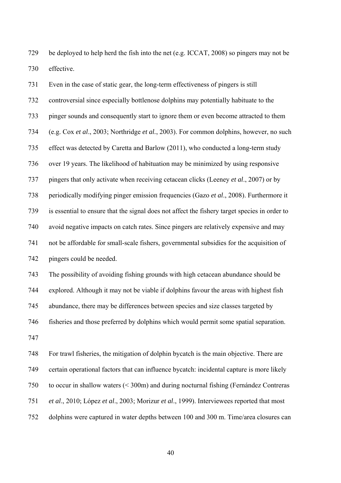729 be deployed to help herd the fish into the net (e.g. ICCAT, 2008) so pingers may not be 730 effective.

731 Even in the case of static gear, the long-term effectiveness of pingers is still 732 controversial since especially bottlenose dolphins may potentially habituate to the 733 pinger sounds and consequently start to ignore them or even become attracted to them 734 (e.g. Cox *et al*., 2003; Northridge *et al.*, 2003). For common dolphins, however, no such 735 effect was detected by Caretta and Barlow (2011), who conducted a long-term study 736 over 19 years. The likelihood of habituation may be minimized by using responsive 737 pingers that only activate when receiving cetacean clicks (Leeney *et al*., 2007) or by 738 periodically modifying pinger emission frequencies (Gazo *et al*., 2008). Furthermore it 739 is essential to ensure that the signal does not affect the fishery target species in order to 740 avoid negative impacts on catch rates. Since pingers are relatively expensive and may 741 not be affordable for small-scale fishers, governmental subsidies for the acquisition of 742 pingers could be needed.

743 The possibility of avoiding fishing grounds with high cetacean abundance should be 744 explored. Although it may not be viable if dolphins favour the areas with highest fish 745 abundance, there may be differences between species and size classes targeted by 746 fisheries and those preferred by dolphins which would permit some spatial separation. 747

748 For trawl fisheries, the mitigation of dolphin bycatch is the main objective. There are 749 certain operational factors that can influence bycatch: incidental capture is more likely 750 to occur in shallow waters (< 300m) and during nocturnal fishing (Fernández Contreras 751 *et al*., 2010; López *et al*., 2003; Morizur *et al*., 1999). Interviewees reported that most 752 dolphins were captured in water depths between 100 and 300 m. Time/area closures can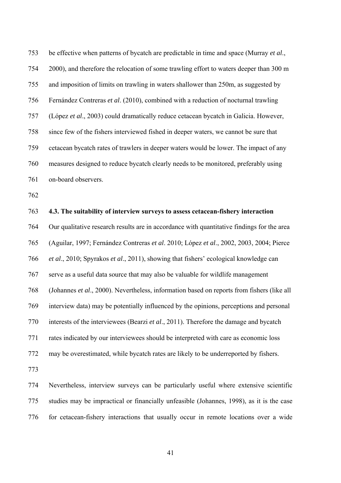753 be effective when patterns of bycatch are predictable in time and space (Murray *et al*., 754 2000), and therefore the relocation of some trawling effort to waters deeper than 300 m 755 and imposition of limits on trawling in waters shallower than 250m, as suggested by 756 Fernández Contreras *et al*. (2010), combined with a reduction of nocturnal trawling 757 (López *et al*., 2003) could dramatically reduce cetacean bycatch in Galicia. However, 758 since few of the fishers interviewed fished in deeper waters, we cannot be sure that 759 cetacean bycatch rates of trawlers in deeper waters would be lower. The impact of any 760 measures designed to reduce bycatch clearly needs to be monitored, preferably using 761 on-board observers.

762

#### 763 **4.3. The suitability of interview surveys to assess cetacean-fishery interaction**

764 Our qualitative research results are in accordance with quantitative findings for the area 765 (Aguilar, 1997; Fernández Contreras *et al*. 2010; López *et al*., 2002, 2003, 2004; Pierce 766 *et al*., 2010; Spyrakos *et al*., 2011), showing that fishers' ecological knowledge can 767 serve as a useful data source that may also be valuable for wildlife management 768 (Johannes *et al*., 2000). Nevertheless, information based on reports from fishers (like all 769 interview data) may be potentially influenced by the opinions, perceptions and personal 770 interests of the interviewees (Bearzi *et al*., 2011). Therefore the damage and bycatch 771 rates indicated by our interviewees should be interpreted with care as economic loss 772 may be overestimated, while bycatch rates are likely to be underreported by fishers.

773

774 Nevertheless, interview surveys can be particularly useful where extensive scientific 775 studies may be impractical or financially unfeasible (Johannes, 1998), as it is the case 776 for cetacean-fishery interactions that usually occur in remote locations over a wide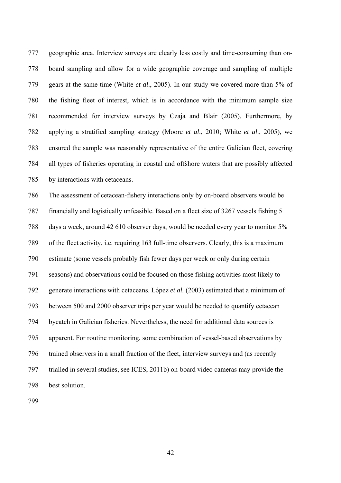777 geographic area. Interview surveys are clearly less costly and time-consuming than on-778 board sampling and allow for a wide geographic coverage and sampling of multiple 779 gears at the same time (White *et al*., 2005). In our study we covered more than 5% of 780 the fishing fleet of interest, which is in accordance with the minimum sample size 781 recommended for interview surveys by Czaja and Blair (2005). Furthermore, by 782 applying a stratified sampling strategy (Moore *et al*., 2010; White *et al*., 2005), we 783 ensured the sample was reasonably representative of the entire Galician fleet, covering 784 all types of fisheries operating in coastal and offshore waters that are possibly affected 785 by interactions with cetaceans.

786 The assessment of cetacean-fishery interactions only by on-board observers would be 787 financially and logistically unfeasible. Based on a fleet size of 3267 vessels fishing 5 788 days a week, around 42 610 observer days, would be needed every year to monitor 5% 789 of the fleet activity, i.e. requiring 163 full-time observers. Clearly, this is a maximum 790 estimate (some vessels probably fish fewer days per week or only during certain 791 seasons) and observations could be focused on those fishing activities most likely to 792 generate interactions with cetaceans. López *et al.* (2003) estimated that a minimum of 793 between 500 and 2000 observer trips per year would be needed to quantify cetacean 794 bycatch in Galician fisheries. Nevertheless, the need for additional data sources is 795 apparent. For routine monitoring, some combination of vessel-based observations by 796 trained observers in a small fraction of the fleet, interview surveys and (as recently 797 trialled in several studies, see ICES, 2011b) on-board video cameras may provide the 798 best solution.

799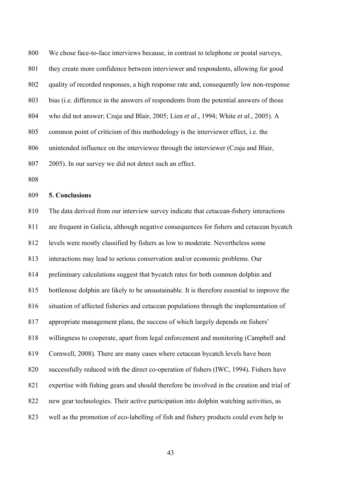800 We chose face-to-face interviews because, in contrast to telephone or postal surveys, 801 they create more confidence between interviewer and respondents, allowing for good 802 quality of recorded responses, a high response rate and, consequently low non-response 803 bias (i.e. difference in the answers of respondents from the potential answers of those 804 who did not answer; Czaja and Blair, 2005; Lien *et al*., 1994; White *et al*., 2005). A 805 common point of criticism of this methodology is the interviewer effect, i.e. the 806 unintended influence on the interviewee through the interviewer (Czaja and Blair, 807 2005). In our survey we did not detect such an effect.

808

#### 809 **5. Conclusions**

810 The data derived from our interview survey indicate that cetacean-fishery interactions 811 are frequent in Galicia, although negative consequences for fishers and cetacean bycatch 812 levels were mostly classified by fishers as low to moderate. Nevertheless some 813 interactions may lead to serious conservation and/or economic problems. Our 814 preliminary calculations suggest that bycatch rates for both common dolphin and 815 bottlenose dolphin are likely to be unsustainable. It is therefore essential to improve the 816 situation of affected fisheries and cetacean populations through the implementation of 817 appropriate management plans, the success of which largely depends on fishers' 818 willingness to cooperate, apart from legal enforcement and monitoring (Campbell and 819 Cornwell, 2008). There are many cases where cetacean bycatch levels have been 820 successfully reduced with the direct co-operation of fishers (IWC, 1994). Fishers have 821 expertise with fishing gears and should therefore be involved in the creation and trial of 822 new gear technologies. Their active participation into dolphin watching activities, as 823 well as the promotion of eco-labelling of fish and fishery products could even help to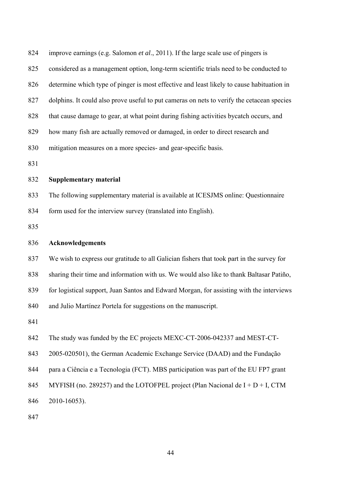| 824 | improve earnings (e.g. Salomon et al., 2011). If the large scale use of pingers is         |
|-----|--------------------------------------------------------------------------------------------|
| 825 | considered as a management option, long-term scientific trials need to be conducted to     |
| 826 | determine which type of pinger is most effective and least likely to cause habituation in  |
| 827 | dolphins. It could also prove useful to put cameras on nets to verify the cetacean species |
| 828 | that cause damage to gear, at what point during fishing activities bycatch occurs, and     |
| 829 | how many fish are actually removed or damaged, in order to direct research and             |
| 830 | mitigation measures on a more species- and gear-specific basis.                            |
| 831 |                                                                                            |
| 832 | <b>Supplementary material</b>                                                              |
| 833 | The following supplementary material is available at ICESJMS online: Questionnaire         |
| 834 | form used for the interview survey (translated into English).                              |
| 835 |                                                                                            |
| 836 | Acknowledgements                                                                           |
| 837 | We wish to express our gratitude to all Galician fishers that took part in the survey for  |
| 838 | sharing their time and information with us. We would also like to thank Baltasar Patiño,   |
| 839 | for logistical support, Juan Santos and Edward Morgan, for assisting with the interviews   |
| 840 | and Julio Martínez Portela for suggestions on the manuscript.                              |
|     |                                                                                            |
| 841 |                                                                                            |
| 842 | The study was funded by the EC projects MEXC-CT-2006-042337 and MEST-CT-                   |
| 843 | 2005-020501), the German Academic Exchange Service (DAAD) and the Fundação                 |
| 844 | para a Ciência e a Tecnologia (FCT). MBS participation was part of the EU FP7 grant        |
| 845 | MYFISH (no. 289257) and the LOTOFPEL project (Plan Nacional de $I + D + I$ , CTM           |
| 846 | 2010-16053).                                                                               |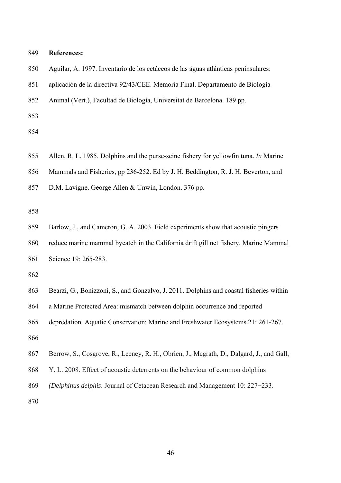| 849 | <b>References:</b>                                                                       |
|-----|------------------------------------------------------------------------------------------|
| 850 | Aguilar, A. 1997. Inventario de los cetáceos de las águas atlánticas peninsulares:       |
| 851 | aplicación de la directiva 92/43/CEE. Memoria Final. Departamento de Biología            |
| 852 | Animal (Vert.), Facultad de Biología, Universitat de Barcelona. 189 pp.                  |
| 853 |                                                                                          |
| 854 |                                                                                          |
| 855 | Allen, R. L. 1985. Dolphins and the purse-seine fishery for yellowfin tuna. In Marine    |
| 856 | Mammals and Fisheries, pp 236-252. Ed by J. H. Beddington, R. J. H. Beverton, and        |
| 857 | D.M. Lavigne. George Allen & Unwin, London. 376 pp.                                      |
| 858 |                                                                                          |
| 859 | Barlow, J., and Cameron, G. A. 2003. Field experiments show that acoustic pingers        |
| 860 | reduce marine mammal bycatch in the California drift gill net fishery. Marine Mammal     |
| 861 | Science 19: 265-283.                                                                     |
| 862 |                                                                                          |
| 863 | Bearzi, G., Bonizzoni, S., and Gonzalvo, J. 2011. Dolphins and coastal fisheries within  |
| 864 | a Marine Protected Area: mismatch between dolphin occurrence and reported                |
| 865 | depredation. Aquatic Conservation: Marine and Freshwater Ecosystems 21: 261-267.         |
| 866 |                                                                                          |
| 867 | Berrow, S., Cosgrove, R., Leeney, R. H., Obrien, J., Mcgrath, D., Dalgard, J., and Gall, |
| 868 | Y. L. 2008. Effect of acoustic deterrents on the behaviour of common dolphins            |
| 869 | (Delphinus delphis. Journal of Cetacean Research and Management 10: 227-233.             |
| 870 |                                                                                          |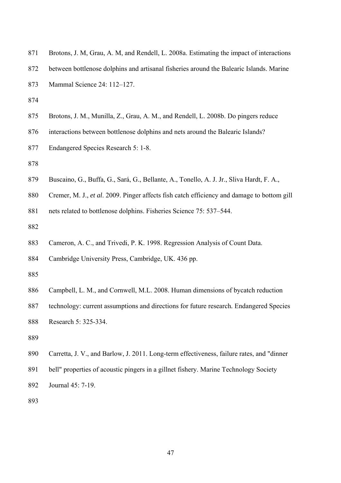| 871 | Brotons, J. M, Grau, A. M, and Rendell, L. 2008a. Estimating the impact of interactions    |
|-----|--------------------------------------------------------------------------------------------|
| 872 | between bottlenose dolphins and artisanal fisheries around the Balearic Islands. Marine    |
| 873 | Mammal Science 24: 112-127.                                                                |
| 874 |                                                                                            |
| 875 | Brotons, J. M., Munilla, Z., Grau, A. M., and Rendell, L. 2008b. Do pingers reduce         |
| 876 | interactions between bottlenose dolphins and nets around the Balearic Islands?             |
| 877 | Endangered Species Research 5: 1-8.                                                        |
| 878 |                                                                                            |
| 879 | Buscaino, G., Buffa, G., Sará, G., Bellante, A., Tonello, A. J. Jr., Sliva Hardt, F. A.,   |
| 880 | Cremer, M. J., et al. 2009. Pinger affects fish catch efficiency and damage to bottom gill |
| 881 | nets related to bottlenose dolphins. Fisheries Science 75: 537-544.                        |
| 882 |                                                                                            |
| 883 | Cameron, A. C., and Trivedi, P. K. 1998. Regression Analysis of Count Data.                |
| 884 | Cambridge University Press, Cambridge, UK. 436 pp.                                         |
| 885 |                                                                                            |
| 886 | Campbell, L. M., and Cornwell, M.L. 2008. Human dimensions of bycatch reduction            |
| 887 | technology: current assumptions and directions for future research. Endangered Species     |
| 888 | Research 5: 325-334.                                                                       |
| 889 |                                                                                            |
| 890 | Carretta, J. V., and Barlow, J. 2011. Long-term effectiveness, failure rates, and "dinner  |
| 891 | bell" properties of acoustic pingers in a gillnet fishery. Marine Technology Society       |

- 892 Journal 45: 7-19.
- 893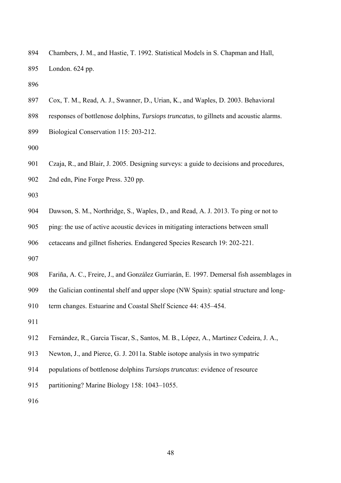- 894 Chambers, J. M., and Hastie, T. 1992. Statistical Models in S. Chapman and Hall, 895 London. 624 pp.
- 896
- 897 Cox, T. M., Read, A. J., Swanner, D., Urian, K., and Waples, D. 2003. Behavioral
- 898 responses of bottlenose dolphins, *Tursiops truncatus*, to gillnets and acoustic alarms.
- 899 Biological Conservation 115: 203-212.

- 901 Czaja, R., and Blair, J. 2005. Designing surveys: a guide to decisions and procedures,
- 902 2nd edn, Pine Forge Press. 320 pp.

903

- 904 Dawson, S. M., Northridge, S., Waples, D., and Read, A. J. 2013. To ping or not to
- 905 ping: the use of active acoustic devices in mitigating interactions between small
- 906 cetaceans and gillnet fisheries*.* Endangered Species Research 19: 202-221.
- 907
- 908 Fariña, A. C., Freire, J., and González Gurriarán, E. 1997. Demersal fish assemblages in
- 909 the Galician continental shelf and upper slope (NW Spain): spatial structure and long-

910 term changes. Estuarine and Coastal Shelf Science 44: 435–454.

911

- 912 Fernández, R., Garcia Tiscar, S., Santos, M. B., López, A., Martinez Cedeira, J. A.,
- 913 Newton, J., and Pierce, G. J. 2011a. Stable isotope analysis in two sympatric
- 914 populations of bottlenose dolphins *Tursiops truncatus*: evidence of resource
- 915 partitioning? Marine Biology 158: 1043–1055.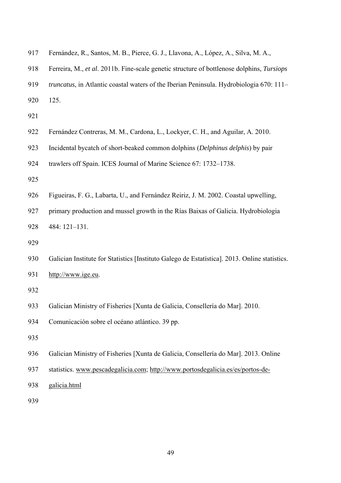| 917 | Fernández, R., Santos, M. B., Pierce, G. J., Llavona, A., López, A., Silva, M. A.,            |
|-----|-----------------------------------------------------------------------------------------------|
| 918 | Ferreira, M., et al. 2011b. Fine-scale genetic structure of bottlenose dolphins, Tursiops     |
| 919 | truncatus, in Atlantic coastal waters of the Iberian Peninsula. Hydrobiologia 670: 111-       |
| 920 | 125.                                                                                          |
| 921 |                                                                                               |
| 922 | Fernández Contreras, M. M., Cardona, L., Lockyer, C. H., and Aguilar, A. 2010.                |
| 923 | Incidental bycatch of short-beaked common dolphins (Delphinus delphis) by pair                |
| 924 | trawlers off Spain. ICES Journal of Marine Science 67: 1732–1738.                             |
| 925 |                                                                                               |
| 926 | Figueiras, F. G., Labarta, U., and Fernández Reiriz, J. M. 2002. Coastal upwelling,           |
| 927 | primary production and mussel growth in the Rías Baixas of Galicia. Hydrobiologia             |
| 928 | 484: 121-131.                                                                                 |
| 929 |                                                                                               |
| 930 | Galician Institute for Statistics [Instituto Galego de Estatística]. 2013. Online statistics. |
| 931 | http://www.ige.eu.                                                                            |
| 932 |                                                                                               |
| 933 | Galician Ministry of Fisheries [Xunta de Galicia, Consellería do Mar]. 2010.                  |
| 934 | Comunicación sobre el océano atlántico. 39 pp.                                                |
| 935 |                                                                                               |
| 936 | Galician Ministry of Fisheries [Xunta de Galicia, Consellería do Mar]. 2013. Online           |
| 937 | statistics. www.pescadegalicia.com; http://www.portosdegalicia.es/es/portos-de-               |
| 938 | galicia.html                                                                                  |
|     |                                                                                               |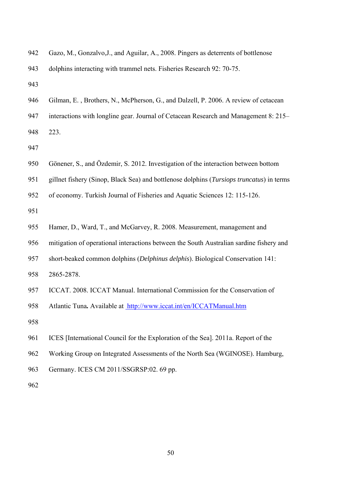| 942 | Gazo, M., Gonzalvo, J., and Aguilar, A., 2008. Pingers as deterrents of bottlenose       |
|-----|------------------------------------------------------------------------------------------|
| 943 | dolphins interacting with trammel nets. Fisheries Research 92: 70-75.                    |
| 943 |                                                                                          |
| 946 | Gilman, E., Brothers, N., McPherson, G., and Dalzell, P. 2006. A review of cetacean      |
| 947 | interactions with longline gear. Journal of Cetacean Research and Management 8: 215–     |
| 948 | 223.                                                                                     |
| 947 |                                                                                          |
| 950 | Gönener, S., and Özdemir, S. 2012. Investigation of the interaction between bottom       |
| 951 | gillnet fishery (Sinop, Black Sea) and bottlenose dolphins (Tursiops truncatus) in terms |
| 952 | of economy. Turkish Journal of Fisheries and Aquatic Sciences 12: 115-126.               |
| 951 |                                                                                          |
| 955 | Hamer, D., Ward, T., and McGarvey, R. 2008. Measurement, management and                  |
| 956 | mitigation of operational interactions between the South Australian sardine fishery and  |
| 957 | short-beaked common dolphins (Delphinus delphis). Biological Conservation 141:           |
| 958 | 2865-2878.                                                                               |
| 957 | ICCAT. 2008. ICCAT Manual. International Commission for the Conservation of              |
| 958 | Atlantic Tuna. Available at http://www.iccat.int/en/ICCATManual.htm                      |
| 958 |                                                                                          |
| 961 | ICES [International Council for the Exploration of the Sea]. 2011a. Report of the        |
| 962 | Working Group on Integrated Assessments of the North Sea (WGINOSE). Hamburg,             |
| 963 | Germany. ICES CM 2011/SSGRSP:02. 69 pp.                                                  |
| 962 |                                                                                          |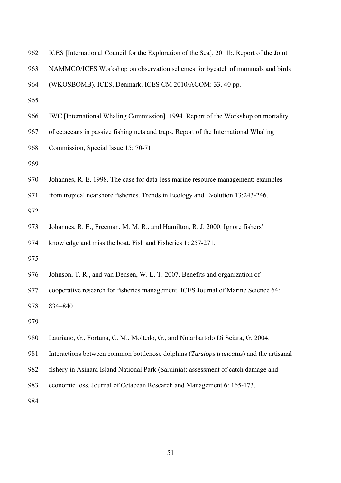- 962 ICES [International Council for the Exploration of the Sea]. 2011b. Report of the Joint
- 963 NAMMCO/ICES Workshop on observation schemes for bycatch of mammals and birds
- 964 (WKOSBOMB). ICES, Denmark. ICES CM 2010/ACOM: 33. 40 pp.
- 965
- 966 IWC [International Whaling Commission]. 1994. Report of the Workshop on mortality
- 967 of cetaceans in passive fishing nets and traps. Report of the International Whaling
- 968 Commission, Special Issue 15: 70-71.
- 969
- 970 Johannes, R. E. 1998. The case for data-less marine resource management: examples
- 971 from tropical nearshore fisheries. Trends in Ecology and Evolution 13:243-246.
- 972
- 973 Johannes, R. E., Freeman, M. M. R., and Hamilton, R. J. 2000. Ignore fishers'
- 974 knowledge and miss the boat. Fish and Fisheries 1: 257-271.
- 975
- 976 Johnson, T. R., and van Densen, W. L. T. 2007. Benefits and organization of
- 977 cooperative research for fisheries management. ICES Journal of Marine Science 64:
- 978 834–840.
- 979
- 980 Lauriano, G., Fortuna, C. M., Moltedo, G., and Notarbartolo Di Sciara, G. 2004.
- 981 Interactions between common bottlenose dolphins (*Tursiops truncatus*) and the artisanal
- 982 fishery in Asinara Island National Park (Sardinia): assessment of catch damage and
- 983 economic loss. Journal of Cetacean Research and Management 6: 165-173.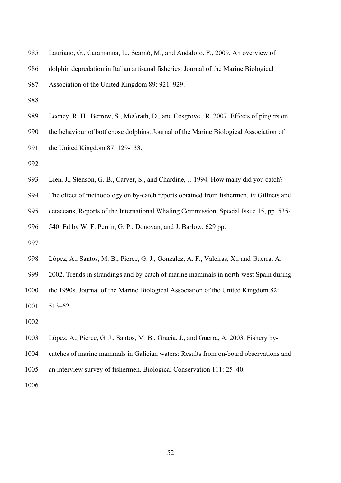| 985 | Lauriano, G., Caramanna, L., Scarnó, M., and Andaloro, F., 2009. An overview of       |
|-----|---------------------------------------------------------------------------------------|
| 986 | dolphin depredation in Italian artisanal fisheries. Journal of the Marine Biological  |
| 987 | Association of the United Kingdom 89: 921–929.                                        |
| 988 |                                                                                       |
| 989 | Leeney, R. H., Berrow, S., McGrath, D., and Cosgrove., R. 2007. Effects of pingers on |
| 990 | the behaviour of bottlenose dolphins. Journal of the Marine Biological Association of |
| 991 | the United Kingdom 87: 129-133.                                                       |
| 992 |                                                                                       |
| 993 | Lien, J., Stenson, G. B., Carver, S., and Chardine, J. 1994. How many did you catch?  |
|     |                                                                                       |

- 994 The effect of methodology on by-catch reports obtained from fishermen. *In* Gillnets and
- 995 cetaceans, Reports of the International Whaling Commission, Special Issue 15, pp. 535-

996 540. Ed by W. F. Perrin, G. P., Donovan, and J. Barlow. 629 pp.

- 997
- 998 López, A., Santos, M. B., Pierce, G. J., González, A. F., Valeiras, X., and Guerra, A.
- 999 2002. Trends in strandings and by-catch of marine mammals in north-west Spain during

1000 the 1990s. Journal of the Marine Biological Association of the United Kingdom 82:

1001 513–521.

- 1002
- 1003 López, A., Pierce, G. J., Santos, M. B., Gracia, J., and Guerra, A. 2003. Fishery by-
- 1004 catches of marine mammals in Galician waters: Results from on-board observations and
- 1005 an interview survey of fishermen. Biological Conservation 111: 25–40.
- 1006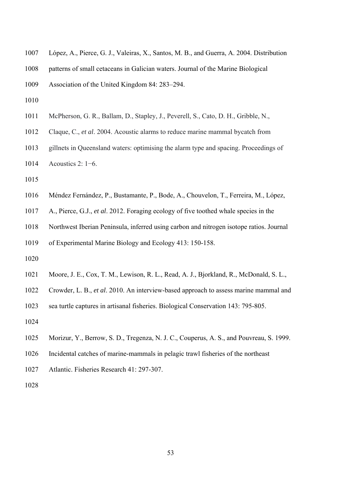| 1007 | López, A., Pierce, G. J., Valeiras, X., Santos, M. B., and Guerra, A. 2004. Distribution |
|------|------------------------------------------------------------------------------------------|
| 1008 | patterns of small cetaceans in Galician waters. Journal of the Marine Biological         |
| 1009 | Association of the United Kingdom 84: 283–294.                                           |
| 1010 |                                                                                          |
| 1011 | McPherson, G. R., Ballam, D., Stapley, J., Peverell, S., Cato, D. H., Gribble, N.,       |
| 1012 | Claque, C., et al. 2004. Acoustic alarms to reduce marine mammal bycatch from            |
| 1013 | gillnets in Queensland waters: optimising the alarm type and spacing. Proceedings of     |
| 1014 | Acoustics $2: 1-6$ .                                                                     |
| 1015 |                                                                                          |
| 1016 | Méndez Fernández, P., Bustamante, P., Bode, A., Chouvelon, T., Ferreira, M., López,      |
| 1017 | A., Pierce, G.J., et al. 2012. Foraging ecology of five toothed whale species in the     |
| 1018 | Northwest Iberian Peninsula, inferred using carbon and nitrogen isotope ratios. Journal  |

1019 of Experimental Marine Biology and Ecology 413: 150-158.

- 1020
- 1021 Moore, J. E., Cox, T. M., Lewison, R. L., Read, A. J., Bjorkland, R., McDonald, S. L.,
- 1022 Crowder, L. B., *et al*. 2010. An interview-based approach to assess marine mammal and

1023 sea turtle captures in artisanal fisheries. Biological Conservation 143: 795-805.

- 1024
- 1025 Morizur, Y., Berrow, S. D., Tregenza, N. J. C., Couperus, A. S., and Pouvreau, S. 1999.
- 1026 Incidental catches of marine-mammals in pelagic trawl fisheries of the northeast
- 1027 Atlantic. Fisheries Research 41: 297-307.
- 1028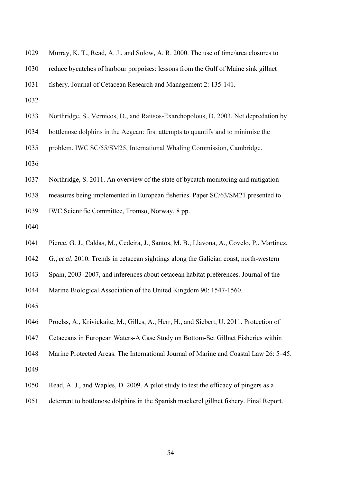| 1029 | Murray, K. T., Read, A. J., and Solow, A. R. 2000. The use of time/area closures to       |
|------|-------------------------------------------------------------------------------------------|
| 1030 | reduce bycatches of harbour porpoises: lessons from the Gulf of Maine sink gillnet        |
| 1031 | fishery. Journal of Cetacean Research and Management 2: 135-141.                          |
| 1032 |                                                                                           |
| 1033 | Northridge, S., Vernicos, D., and Raitsos-Exarchopolous, D. 2003. Net depredation by      |
| 1034 | bottlenose dolphins in the Aegean: first attempts to quantify and to minimise the         |
| 1035 | problem. IWC SC/55/SM25, International Whaling Commission, Cambridge.                     |
| 1036 |                                                                                           |
| 1037 | Northridge, S. 2011. An overview of the state of bycatch monitoring and mitigation        |
| 1038 | measures being implemented in European fisheries. Paper SC/63/SM21 presented to           |
| 1039 | IWC Scientific Committee, Tromso, Norway. 8 pp.                                           |
| 1040 |                                                                                           |
| 1041 | Pierce, G. J., Caldas, M., Cedeira, J., Santos, M. B., Llavona, A., Covelo, P., Martinez, |
| 1042 | G., et al. 2010. Trends in cetacean sightings along the Galician coast, north-western     |
| 1043 | Spain, 2003–2007, and inferences about cetacean habitat preferences. Journal of the       |
| 1044 | Marine Biological Association of the United Kingdom 90: 1547-1560.                        |
| 1045 |                                                                                           |
| 1046 | Proelss, A., Krivickaite, M., Gilles, A., Herr, H., and Siebert, U. 2011. Protection of   |
| 1047 | Cetaceans in European Waters-A Case Study on Bottom-Set Gillnet Fisheries within          |
| 1048 | Marine Protected Areas. The International Journal of Marine and Coastal Law 26: 5–45.     |
| 1049 |                                                                                           |
| 1050 | Read, A. J., and Waples, D. 2009. A pilot study to test the efficacy of pingers as a      |
| 1051 | deterrent to bottlenose dolphins in the Spanish mackerel gillnet fishery. Final Report.   |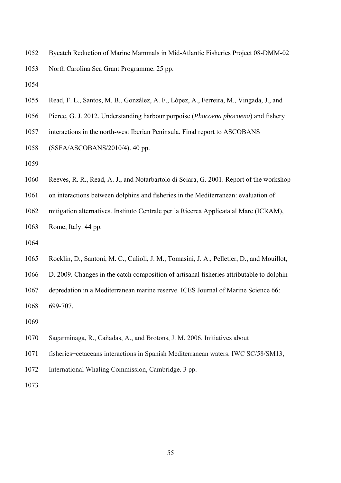- 1052 Bycatch Reduction of Marine Mammals in Mid-Atlantic Fisheries Project 08-DMM-02 1053 North Carolina Sea Grant Programme. 25 pp.
- 1054
- 1055 Read, F. L., Santos, M. B., González, A. F., López, A., Ferreira, M., Vingada, J., and
- 1056 Pierce, G. J. 2012. Understanding harbour porpoise (*Phocoena phocoena*) and fishery
- 1057 interactions in the north-west Iberian Peninsula. Final report to ASCOBANS
- 1058 (SSFA/ASCOBANS/2010/4). 40 pp.
- 1059
- 1060 Reeves, R. R., Read, A. J., and Notarbartolo di Sciara, G. 2001. Report of the workshop
- 1061 on interactions between dolphins and fisheries in the Mediterranean: evaluation of
- 1062 mitigation alternatives. Instituto Centrale per la Ricerca Applicata al Mare (ICRAM),
- 1063 Rome, Italy. 44 pp.
- 1064
- 1065 Rocklin, D., Santoni, M. C., Culioli, J. M., Tomasini, J. A., Pelletier, D., and Mouillot,
- 1066 D. 2009. Changes in the catch composition of artisanal fisheries attributable to dolphin
- 1067 depredation in a Mediterranean marine reserve. ICES Journal of Marine Science 66:
- 1068 699-707.
- 1069
- 1070 Sagarminaga, R., Cañadas, A., and Brotons, J. M. 2006. Initiatives about
- 1071 fisheries−cetaceans interactions in Spanish Mediterranean waters. IWC SC/58/SM13,
- 1072 International Whaling Commission, Cambridge. 3 pp.
- 1073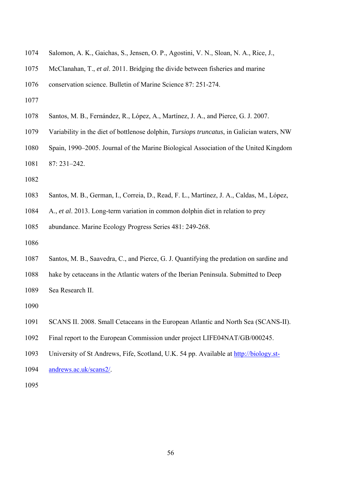- 1074 Salomon, A. K., Gaichas, S., Jensen, O. P., Agostini, V. N., Sloan, N. A., Rice, J.,
- 1075 McClanahan, T., *et al*. 2011. Bridging the divide between fisheries and marine
- 1076 conservation science. Bulletin of Marine Science 87: 251-274.
- 1077
- 1078 Santos, M. B., Fernández, R., López, A., Martínez, J. A., and Pierce, G. J. 2007.
- 1079 Variability in the diet of bottlenose dolphin, *Tursiops truncatus*, in Galician waters, NW
- 1080 Spain, 1990–2005. Journal of the Marine Biological Association of the United Kingdom
- 1081 87: 231–242.
- 1082
- 1083 Santos, M. B., German, I., Correia, D., Read, F. L., Martínez, J. A., Caldas, M., López,
- 1084 A., *et al*. 2013. Long-term variation in common dolphin diet in relation to prey

1085 abundance. Marine Ecology Progress Series 481: 249-268.

- 1086
- 1087 Santos, M. B., Saavedra, C., and Pierce, G. J. Quantifying the predation on sardine and
- 1088 hake by cetaceans in the Atlantic waters of the Iberian Peninsula. Submitted to Deep
- 1089 Sea Research II.
- 1090
- 1091 SCANS II. 2008. Small Cetaceans in the European Atlantic and North Sea (SCANS-II).
- 1092 Final report to the European Commission under project LIFE04NAT/GB/000245.
- 1093 University of St Andrews, Fife, Scotland, U.K. 54 pp. Available at http://biology.st-
- 1094 andrews.ac.uk/scans2/.
- 1095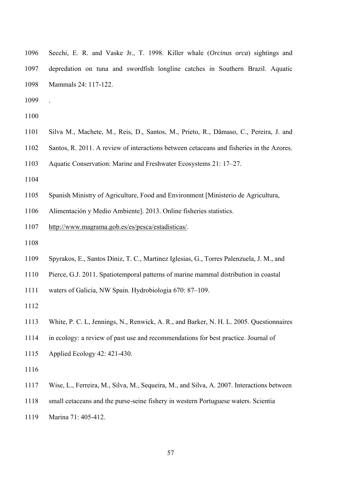| 1096 | Secchi, E. R. and Vaske Jr., T. 1998. Killer whale (Orcinus orca) sightings and |
|------|---------------------------------------------------------------------------------|
| 1097 | depredation on tuna and swordfish longline catches in Southern Brazil. Aquatic  |
| 1098 | Mammals 24: 117-122.                                                            |

1099 .

1100

- 1101 Silva M., Machete, M., Reis, D., Santos, M., Prieto, R., Dâmaso, C., Pereira, J. and
- 1102 Santos, R. 2011. A review of interactions between cetaceans and fisheries in the Azores.

1103 Aquatic Conservation: Marine and Freshwater Ecosystems 21: 17–27.

- 1104
- 1105 Spanish Ministry of Agriculture, Food and Environment [Ministerio de Agricultura,

1106 Alimentación y Medio Ambiente]. 2013. Online fisheries statistics.

1107 http://www.magrama.gob.es/es/pesca/estadisticas/.

1108

1109 Spyrakos, E., Santos Diniz, T. C., Martinez Iglesias, G., Torres Palenzuela, J. M., and

1110 Pierce, G.J. 2011. Spatiotemporal patterns of marine mammal distribution in coastal

1111 waters of Galicia, NW Spain. Hydrobiologia 670: 87–109.

1112

1113 White, P. C. L, Jennings, N., Renwick, A. R., and Barker, N. H. L. 2005. Questionnaires

1114 in ecology: a review of past use and recommendations for best practice. Journal of

- 1115 Applied Ecology 42: 421-430.
- 1116

1117 Wise, L., Ferreira, M., Silva, M., Sequeira, M., and Silva, A. 2007. Interactions between

1118 small cetaceans and the purse-seine fishery in western Portuguese waters. Scientia

1119 Marina 71: 405-412.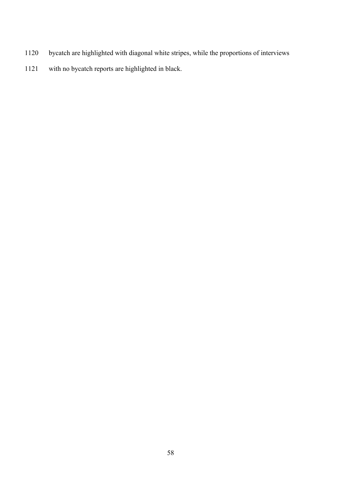- 1120 bycatch are highlighted with diagonal white stripes, while the proportions of interviews
- 1121 with no bycatch reports are highlighted in black.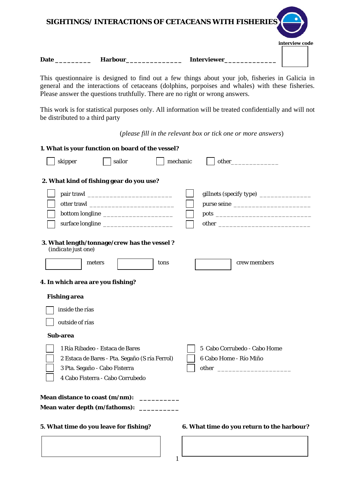|             |                | SIGHTINGS/ INTERACTIONS OF CETACEANS WITH FISHERIES |                |
|-------------|----------------|-----------------------------------------------------|----------------|
|             |                |                                                     | interview code |
| <b>Date</b> | <b>Harbour</b> | <b>Interviewer</b>                                  |                |

This questionnaire is designed to find out a few things about your job, fisheries in Galicia in general and the interactions of cetaceans (dolphins, porpoises and whales) with these fisheries. Please answer the questions truthfully. There are no right or wrong answers.

This work is for statistical purposes only. All information will be treated confidentially and will not be distributed to a third party

(*please fill in the relevant box or tick one or more answers*)

| 1. What is your function on board of the vessel?                   |                                                |      |          |                                            |
|--------------------------------------------------------------------|------------------------------------------------|------|----------|--------------------------------------------|
| skipper                                                            | sailor                                         |      | mechanic |                                            |
| 2. What kind of fishing gear do you use?                           |                                                |      |          |                                            |
|                                                                    |                                                |      |          |                                            |
|                                                                    |                                                |      |          |                                            |
|                                                                    |                                                |      |          |                                            |
|                                                                    |                                                |      |          |                                            |
| 3. What length/tonnage/crew has the vessel?<br>(indicate just one) |                                                |      |          |                                            |
| meters                                                             |                                                | tons |          | crew members                               |
| 4. In which area are you fishing?                                  |                                                |      |          |                                            |
| <b>Fishing area</b>                                                |                                                |      |          |                                            |
| inside the rías                                                    |                                                |      |          |                                            |
| outside of rías                                                    |                                                |      |          |                                            |
| Sub-area                                                           |                                                |      |          |                                            |
|                                                                    | 1 Ría Ribadeo - Estaca de Bares                |      |          | 5 Cabo Corrubedo - Cabo Home               |
|                                                                    | 2 Estaca de Bares - Pta. Segaño (S ría Ferrol) |      |          | 6 Cabo Home - Río Miño                     |
| 3 Pta. Segaño - Cabo Fisterra                                      |                                                |      |          |                                            |
|                                                                    | 4 Cabo Fisterra - Cabo Corrubedo               |      |          |                                            |
| Mean distance to coast (m/nm):                                     |                                                |      |          |                                            |
| Mean water depth (m/fathoms):                                      |                                                |      |          |                                            |
| 5. What time do you leave for fishing?                             |                                                |      |          | 6. What time do you return to the harbour? |
|                                                                    |                                                |      |          |                                            |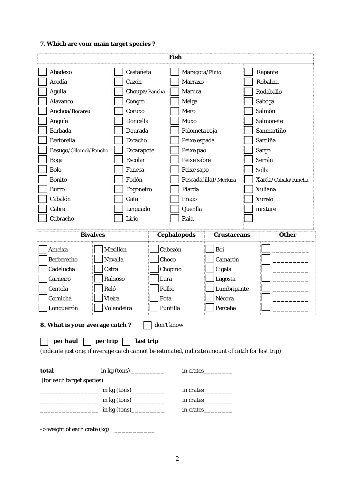# **7. Which are your main target species ?**

| <b>Fish</b>                                                                                       |                                                                                        |                                                  |                                                                                |                     |
|---------------------------------------------------------------------------------------------------|----------------------------------------------------------------------------------------|--------------------------------------------------|--------------------------------------------------------------------------------|---------------------|
| Abadexo                                                                                           | Castañeta                                                                              | Maragota/Pinto                                   |                                                                                | Rapante             |
| Acedía                                                                                            | Cazón                                                                                  | <b>Marraxo</b>                                   |                                                                                | Robaliza            |
| Agulla                                                                                            | Choupa/Pancha                                                                          | Maruca                                           |                                                                                | Rodaballo           |
| Alavanco                                                                                          | Congro                                                                                 | Melga                                            |                                                                                | Saboga              |
| Anchoa/Bocareu                                                                                    | Coruxo                                                                                 | Mero                                             |                                                                                | Salmón              |
| Anguía                                                                                            | Doncella                                                                               | <b>Muxo</b>                                      |                                                                                | Salmonete           |
| <b>Barbada</b>                                                                                    | Dourada                                                                                | Palometa roja                                    |                                                                                | Sanmartiño          |
| <b>Bertorella</b>                                                                                 | Escacho                                                                                | Peixe espada                                     |                                                                                | Sardiña             |
| Besugo/Ollomol/Pancho                                                                             | Escarapote                                                                             | Peixe pao                                        |                                                                                | Sargo               |
| <b>Boga</b>                                                                                       | <b>Escolar</b>                                                                         | Peixe sabre                                      |                                                                                | Serrán              |
| <b>Bolo</b>                                                                                       | Faneca                                                                                 | Peixe sapo                                       |                                                                                | Solla               |
| <b>Bonito</b>                                                                                     | Fodón                                                                                  | Pescada(illa)/Merluza                            |                                                                                | Xarda/Cabala/Rincha |
| <b>Burro</b>                                                                                      | Fogoneiro                                                                              | Piarda                                           |                                                                                | Xuliana             |
| Cabalón                                                                                           | Gata                                                                                   | Prago                                            |                                                                                | Xurelo              |
| Cabra                                                                                             | Linguado                                                                               | Quenlla                                          |                                                                                | mixture             |
| Cabracho                                                                                          | Lirio                                                                                  | Raia                                             |                                                                                |                     |
| <b>Bivalves</b>                                                                                   |                                                                                        | <b>Cephalopods</b>                               | <b>Crustaceans</b>                                                             | <b>Other</b>        |
|                                                                                                   |                                                                                        |                                                  |                                                                                |                     |
| Ameixa<br>Berberecho<br>Cadelucha<br>Carneiro<br>Centola<br>Reló<br>Cornicha<br>Longueirón        | Mexillón<br>Navalla<br>Ostra<br>Rabioso<br>Lura<br><b>Vieira</b><br>Pota<br>Volandeira | Cabezón<br>Choco<br>Chopiño<br>Polbo<br>Puntilla | Boi<br>Camarón<br>Cigala<br>Lagosta<br>Lumbrigante<br>Nécora<br>$\Box$ Percebe |                     |
| 8. What is your average catch?                                                                    |                                                                                        | don't know                                       |                                                                                |                     |
| $per$ haul $ $   per trip                                                                         | last trip<br>$\mathbf{1}$                                                              |                                                  |                                                                                |                     |
| (indicate just one; if average catch cannot be estimated, indicate amount of catch for last trip) |                                                                                        |                                                  |                                                                                |                     |
| total                                                                                             |                                                                                        | in crates___________                             |                                                                                |                     |
| (for each target species)                                                                         |                                                                                        |                                                  |                                                                                |                     |
| <u>_______________</u> in kg (tons)___________                                                    |                                                                                        | in crates                                        |                                                                                |                     |
| $\frac{1}{2}$ in kg (tons)                                                                        |                                                                                        | in crates___________                             |                                                                                |                     |
| $\frac{1}{2}$ in kg (tons)                                                                        |                                                                                        | in crates___________                             |                                                                                |                     |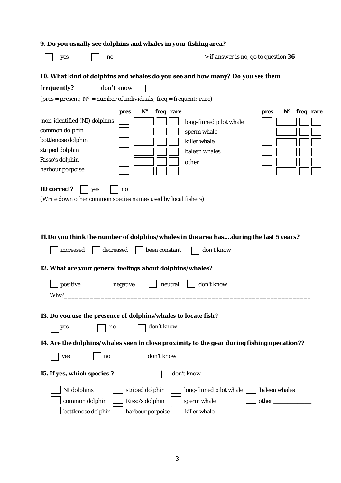|                                                                                                                                | 9. Do you usually see dolphins and whales in your fishing area?            |                                                        |                                                                                                   |                                                |
|--------------------------------------------------------------------------------------------------------------------------------|----------------------------------------------------------------------------|--------------------------------------------------------|---------------------------------------------------------------------------------------------------|------------------------------------------------|
| yes                                                                                                                            | no                                                                         |                                                        | -> if answer is no, go to question 36                                                             |                                                |
|                                                                                                                                |                                                                            |                                                        | 10. What kind of dolphins and whales do you see and how many? Do you see them                     |                                                |
| frequently?                                                                                                                    | don't know                                                                 |                                                        |                                                                                                   |                                                |
|                                                                                                                                | (pres = present; $N^o$ = number of individuals; freq = frequent; rare)     |                                                        |                                                                                                   |                                                |
| non-identified (NI) dolphins<br>common dolphin<br>bottlenose dolphin<br>striped dolphin<br>Risso's dolphin<br>harbour porpoise | pres                                                                       | N°<br>freq rare                                        | long-finned pilot whale<br>sperm whale<br>killer whale<br>baleen whales<br>$other$ <sub>___</sub> | $\mathbf{N}^{\mathbf{o}}$<br>freq rare<br>pres |
| <b>ID</b> correct?                                                                                                             | yes<br>no<br>(Write down other common species names used by local fishers) |                                                        |                                                                                                   |                                                |
|                                                                                                                                |                                                                            |                                                        | 11.Do you think the number of dolphins/whales in the area hasduring the last 5 years?             |                                                |
| increased                                                                                                                      | decreased                                                                  | been constant                                          | don't know                                                                                        |                                                |
|                                                                                                                                | 12. What are your general feelings about dolphins/whales?                  |                                                        |                                                                                                   |                                                |
| positive<br>Why?                                                                                                               | negative                                                                   | neutral                                                | don't know                                                                                        |                                                |
|                                                                                                                                | 13. Do you use the presence of dolphins/whales to locate fish?             |                                                        |                                                                                                   |                                                |
| yes                                                                                                                            | no                                                                         | don't know                                             |                                                                                                   |                                                |
| yes                                                                                                                            | no                                                                         | don't know                                             | 14. Are the dolphins/whales seen in close proximity to the gear during fishing operation??        |                                                |
| 15. If yes, which species?                                                                                                     |                                                                            |                                                        | don't know                                                                                        |                                                |
| NI dolphins<br>common dolphin<br>bottlenose dolphin                                                                            |                                                                            | striped dolphin<br>Risso's dolphin<br>harbour porpoise | long-finned pilot whale<br>sperm whale<br>killer whale                                            | baleen whales                                  |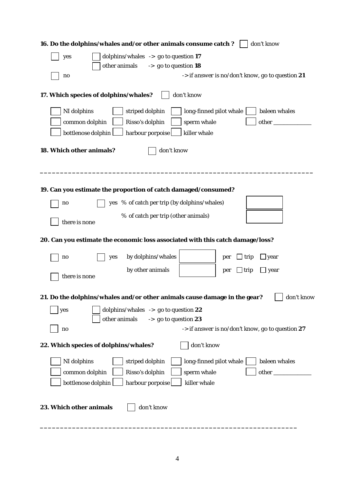| 16. Do the dolphins/whales and/or other animals consume catch?<br>don't know                    |
|-------------------------------------------------------------------------------------------------|
| dolphins/whales $\rightarrow$ go to question 17<br>yes                                          |
| other animals<br>-> go to question 18                                                           |
| -> if answer is no/don't know, go to question 21<br>no                                          |
| 17. Which species of dolphins/whales?<br>don't know                                             |
| NI dolphins<br>striped dolphin<br>long-finned pilot whale<br>baleen whales                      |
| common dolphin<br>Risso's dolphin<br>sperm whale                                                |
| harbour porpoise<br>killer whale<br>bottlenose dolphin                                          |
| 18. Which other animals?<br>don't know                                                          |
| 19. Can you estimate the proportion of catch damaged/consumed?                                  |
| yes % of catch per trip (by dolphins/whales)<br>no                                              |
| % of catch per trip (other animals)<br>there is none                                            |
| 20. Can you estimate the economic loss associated with this catch damage/loss?                  |
| by dolphins/whales<br>$\perp$ trip<br>∐year<br>yes<br>no<br>per                                 |
| by other animals<br>$\Box$ trip<br>$\Box$ year<br>per<br>there is none                          |
| 21. Do the dolphins/whales and/or other animals cause damage in the gear?<br>don't know         |
| dolphins/whales $\rightarrow$ go to question 22<br>yes                                          |
| -> go to question 23<br>other animals<br>-> if answer is no/don't know, go to question 27<br>no |
| don't know<br>22. Which species of dolphins/whales?                                             |
| NI dolphins<br>striped dolphin<br>long-finned pilot whale<br>baleen whales                      |
| common dolphin<br>Risso's dolphin<br>sperm whale                                                |
| bottlenose dolphin<br>harbour porpoise<br>killer whale                                          |
| don't know<br>23. Which other animals                                                           |

**\_\_\_\_\_\_\_\_\_\_\_\_\_\_\_\_\_\_\_\_\_\_\_\_\_\_\_\_\_\_\_\_\_\_\_\_\_\_\_\_\_\_\_\_\_\_\_\_\_\_\_\_\_\_\_\_\_\_\_\_\_\_\_\_**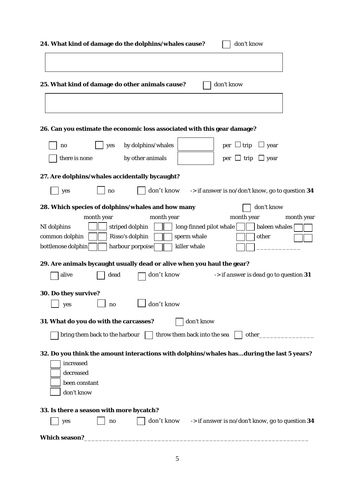| 24. What kind of damage do the dolphins/whales cause?<br>don't know                                                 |
|---------------------------------------------------------------------------------------------------------------------|
|                                                                                                                     |
| 25. What kind of damage do other animals cause?<br>don't know                                                       |
|                                                                                                                     |
| 26. Can you estimate the economic loss associated with this gear damage?                                            |
| by dolphins/whales<br>$per \Box trip$<br>yes<br>$\Box$ year<br>no                                                   |
| there is none<br>by other animals<br>$per \cup trip$<br>$\Box$ year                                                 |
| 27. Are dolphins/whales accidentally bycaught?                                                                      |
| don't know -> if answer is no/don't know, go to question 34<br>yes<br>no                                            |
| don't know<br>28. Which species of dolphins/whales and how many                                                     |
| month year<br>month year<br>month year<br>month year                                                                |
| long-finned pilot whale<br>baleen whales<br>NI dolphins<br>striped dolphin                                          |
| common dolphin<br>Risso's dolphin<br>sperm whale<br>other<br>killer whale<br>bottlenose dolphin<br>harbour porpoise |
| 29. Are animals bycaught usually dead or alive when you haul the gear?                                              |
| don't know<br>alive<br>-> if answer is dead go to question 31<br>dead                                               |
| 30. Do they survive?                                                                                                |
| don't know<br>yes<br>no                                                                                             |
| don't know<br>31. What do you do with the carcasses?                                                                |
| throw them back into the sea<br>bring them back to the harbour<br>other_                                            |
| 32. Do you think the amount interactions with dolphins/whales hasduring the last 5 years?                           |
| increased                                                                                                           |
| decreased                                                                                                           |
| been constant                                                                                                       |
| don't know                                                                                                          |
| 33. Is there a season with more bycatch?                                                                            |
| don't know $\rightarrow$ if answer is no/don't know, go to question 34<br>yes<br>no                                 |
| Which season?                                                                                                       |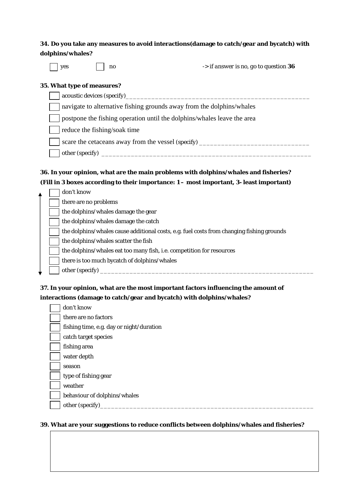# **34. Do you take any measures to avoid interactions(damage to catch/gear and bycatch) with dolphins/whales?**

| .,<br>۰.<br>۰,<br>× |
|---------------------|
|---------------------|

no *-> if answer is no, go to question* **36** 

#### **35. What type of measures?**

| acoustic devices (specify)_______                                                 |  |
|-----------------------------------------------------------------------------------|--|
| navigate to alternative fishing grounds away from the dolphins/whales             |  |
| $\vert$   postpone the fishing operation until the dolphins/whales leave the area |  |
| reduce the fishing/soak time                                                      |  |
| scare the cetaceans away from the vessel <i>(specify)</i>                         |  |
| other (specify)                                                                   |  |

## **36. In your opinion, what are the main problems with dolphins/whales and fisheries? (Fill in 3 boxes according to their importance: 1 – most important, 3- least important)**

|  | don't know                                                                                |
|--|-------------------------------------------------------------------------------------------|
|  | there are no problems                                                                     |
|  | the dolphins/whales damage the gear                                                       |
|  | the dolphins/whales damage the catch                                                      |
|  | the dolphins/whales cause additional costs, e.g. fuel costs from changing fishing grounds |
|  | the dolphins/whales scatter the fish                                                      |
|  | the dolphins/whales eat too many fish, i.e. competition for resources                     |
|  | there is too much bycatch of dolphins/whales                                              |
|  | other (specify)                                                                           |

# **37. In your opinion, what are the most important factors influencing the amount of interactions (damage to catch/gear and bycatch) with dolphins/whales?**

|  | don't know                               |
|--|------------------------------------------|
|  | there are no factors                     |
|  | fishing time, e.g. day or night/duration |
|  | catch target species                     |
|  | fishing area                             |
|  | water depth                              |
|  | season                                   |
|  | type of fishing gear                     |
|  | weather                                  |
|  | behaviour of dolphins/whales             |
|  | other (specify)                          |
|  |                                          |

#### **39. What are your suggestions to reduce conflicts between dolphins/whales and fisheries?**